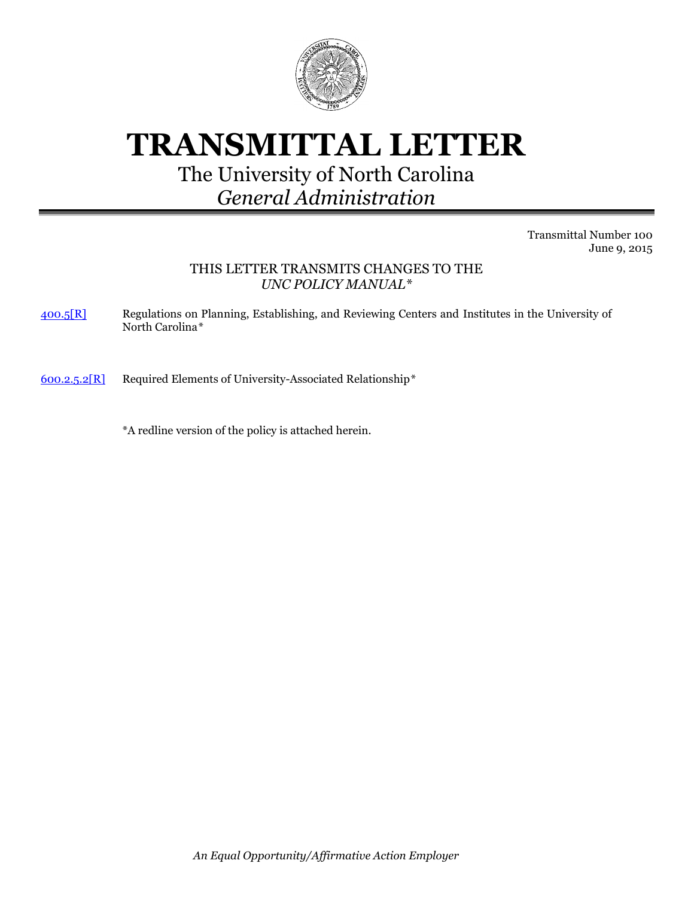

# **TRANSMITTAL LETTER**

# The University of North Carolina *General Administration*

Transmittal Number 100 June 9, 2015

# THIS LETTER TRANSMITS CHANGES TO THE *UNC POLICY MANUAL\**

[400.5\[R\]](http://www.northcarolina.edu/apps/policy/index.php?pg=vs&id=5575&added=1) Regulations on Planning, Establishing, and Reviewing Centers and Institutes in the University of North Carolina*\**

[600.2.5.2\[R\]](http://www.northcarolina.edu/apps/policy/index.php?pg=vs&id=430) Required Elements of University-Associated Relationship*\**

\*A redline version of the policy is attached herein.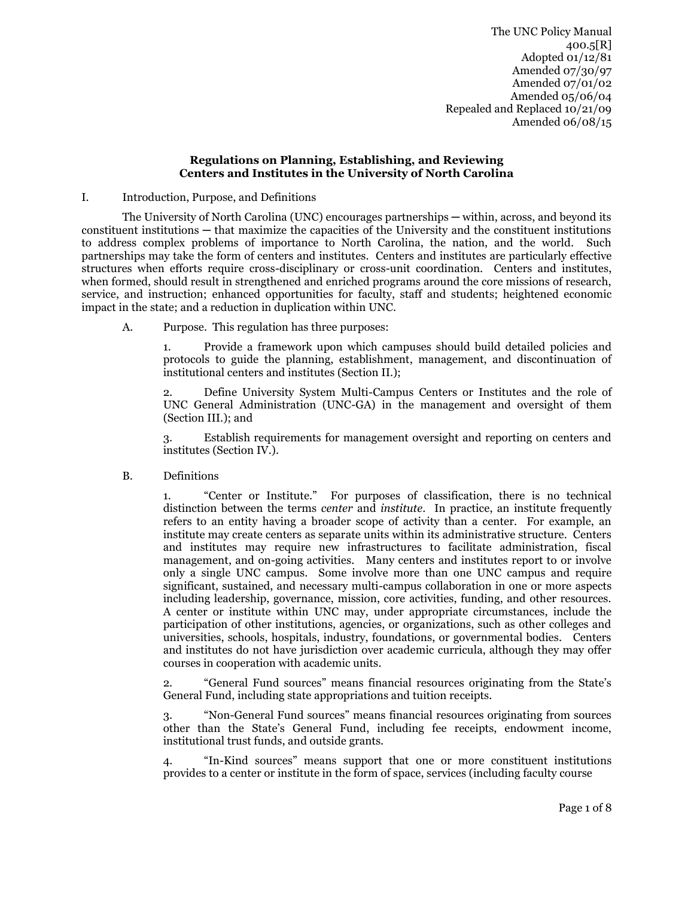#### **Regulations on Planning, Establishing, and Reviewing Centers and Institutes in the University of North Carolina**

I. Introduction, Purpose, and Definitions

The University of North Carolina (UNC) encourages partnerships — within, across, and beyond its constituent institutions ─ that maximize the capacities of the University and the constituent institutions to address complex problems of importance to North Carolina, the nation, and the world. Such partnerships may take the form of centers and institutes. Centers and institutes are particularly effective structures when efforts require cross-disciplinary or cross-unit coordination. Centers and institutes, when formed, should result in strengthened and enriched programs around the core missions of research, service, and instruction; enhanced opportunities for faculty, staff and students; heightened economic impact in the state; and a reduction in duplication within UNC.

A. Purpose. This regulation has three purposes:

1. Provide a framework upon which campuses should build detailed policies and protocols to guide the planning, establishment, management, and discontinuation of institutional centers and institutes (Section II.);

2. Define University System Multi-Campus Centers or Institutes and the role of UNC General Administration (UNC-GA) in the management and oversight of them (Section III.); and

3. Establish requirements for management oversight and reporting on centers and institutes (Section IV.).

B. Definitions

"Center or Institute." For purposes of classification, there is no technical distinction between the terms *center* and *institute*. In practice, an institute frequently refers to an entity having a broader scope of activity than a center. For example, an institute may create centers as separate units within its administrative structure. Centers and institutes may require new infrastructures to facilitate administration, fiscal management, and on-going activities. Many centers and institutes report to or involve only a single UNC campus. Some involve more than one UNC campus and require significant, sustained, and necessary multi-campus collaboration in one or more aspects including leadership, governance, mission, core activities, funding, and other resources. A center or institute within UNC may, under appropriate circumstances, include the participation of other institutions, agencies, or organizations, such as other colleges and universities, schools, hospitals, industry, foundations, or governmental bodies. Centers and institutes do not have jurisdiction over academic curricula, although they may offer courses in cooperation with academic units.

2. "General Fund sources" means financial resources originating from the State's General Fund, including state appropriations and tuition receipts.

3. "Non-General Fund sources" means financial resources originating from sources other than the State's General Fund, including fee receipts, endowment income, institutional trust funds, and outside grants.

"In-Kind sources" means support that one or more constituent institutions provides to a center or institute in the form of space, services (including faculty course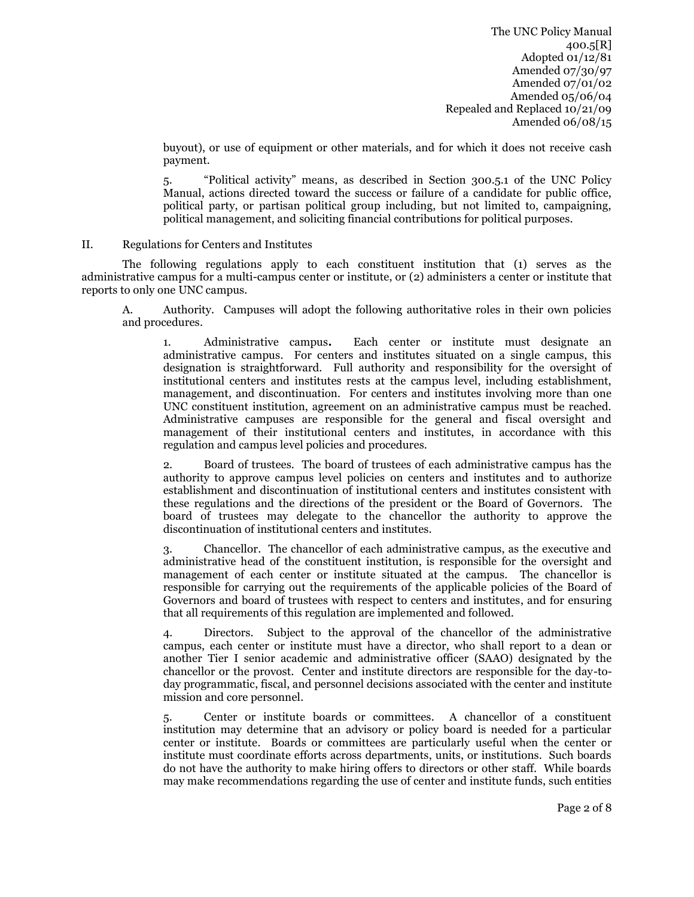buyout), or use of equipment or other materials, and for which it does not receive cash payment.

5. "Political activity" means, as described in Section 300.5.1 of the UNC Policy Manual, actions directed toward the success or failure of a candidate for public office, political party, or partisan political group including, but not limited to, campaigning, political management, and soliciting financial contributions for political purposes.

#### II. Regulations for Centers and Institutes

The following regulations apply to each constituent institution that (1) serves as the administrative campus for a multi-campus center or institute, or (2) administers a center or institute that reports to only one UNC campus.

A. Authority.Campuses will adopt the following authoritative roles in their own policies and procedures.

1. Administrative campus**.** Each center or institute must designate an administrative campus. For centers and institutes situated on a single campus, this designation is straightforward. Full authority and responsibility for the oversight of institutional centers and institutes rests at the campus level, including establishment, management, and discontinuation.For centers and institutes involving more than one UNC constituent institution, agreement on an administrative campus must be reached. Administrative campuses are responsible for the general and fiscal oversight and management of their institutional centers and institutes, in accordance with this regulation and campus level policies and procedures.

2. Board of trustees. The board of trustees of each administrative campus has the authority to approve campus level policies on centers and institutes and to authorize establishment and discontinuation of institutional centers and institutes consistent with these regulations and the directions of the president or the Board of Governors. The board of trustees may delegate to the chancellor the authority to approve the discontinuation of institutional centers and institutes.

3. Chancellor. The chancellor of each administrative campus, as the executive and administrative head of the constituent institution, is responsible for the oversight and management of each center or institute situated at the campus. The chancellor is responsible for carrying out the requirements of the applicable policies of the Board of Governors and board of trustees with respect to centers and institutes, and for ensuring that all requirements of this regulation are implemented and followed.

4. Directors.Subject to the approval of the chancellor of the administrative campus, each center or institute must have a director, who shall report to a dean or another Tier I senior academic and administrative officer (SAAO) designated by the chancellor or the provost. Center and institute directors are responsible for the day-today programmatic, fiscal, and personnel decisions associated with the center and institute mission and core personnel.

5. Center or institute boards or committees. A chancellor of a constituent institution may determine that an advisory or policy board is needed for a particular center or institute. Boards or committees are particularly useful when the center or institute must coordinate efforts across departments, units, or institutions. Such boards do not have the authority to make hiring offers to directors or other staff. While boards may make recommendations regarding the use of center and institute funds, such entities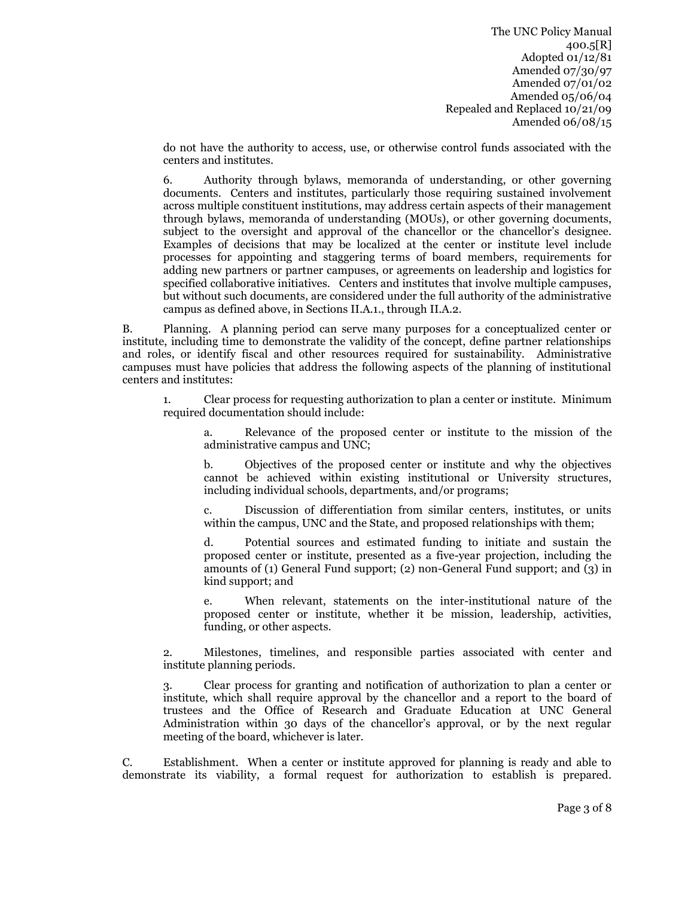do not have the authority to access, use, or otherwise control funds associated with the centers and institutes.

6. Authority through bylaws, memoranda of understanding, or other governing documents. Centers and institutes, particularly those requiring sustained involvement across multiple constituent institutions, may address certain aspects of their management through bylaws, memoranda of understanding (MOUs), or other governing documents, subject to the oversight and approval of the chancellor or the chancellor's designee. Examples of decisions that may be localized at the center or institute level include processes for appointing and staggering terms of board members, requirements for adding new partners or partner campuses, or agreements on leadership and logistics for specified collaborative initiatives. Centers and institutes that involve multiple campuses, but without such documents, are considered under the full authority of the administrative campus as defined above, in Sections II.A.1., through II.A.2.

B. Planning. A planning period can serve many purposes for a conceptualized center or institute, including time to demonstrate the validity of the concept, define partner relationships and roles, or identify fiscal and other resources required for sustainability. Administrative campuses must have policies that address the following aspects of the planning of institutional centers and institutes:

1. Clear process for requesting authorization to plan a center or institute. Minimum required documentation should include:

a. Relevance of the proposed center or institute to the mission of the administrative campus and UNC;

b. Objectives of the proposed center or institute and why the objectives cannot be achieved within existing institutional or University structures, including individual schools, departments, and/or programs;

c. Discussion of differentiation from similar centers, institutes, or units within the campus, UNC and the State, and proposed relationships with them;

d. Potential sources and estimated funding to initiate and sustain the proposed center or institute, presented as a five-year projection, including the amounts of (1) General Fund support; (2) non-General Fund support; and (3) in kind support; and

e. When relevant, statements on the inter-institutional nature of the proposed center or institute, whether it be mission, leadership, activities, funding, or other aspects.

2. Milestones, timelines, and responsible parties associated with center and institute planning periods.

3. Clear process for granting and notification of authorization to plan a center or institute, which shall require approval by the chancellor and a report to the board of trustees and the Office of Research and Graduate Education at UNC General Administration within 30 days of the chancellor's approval, or by the next regular meeting of the board, whichever is later.

C. Establishment.When a center or institute approved for planning is ready and able to demonstrate its viability, a formal request for authorization to establish is prepared.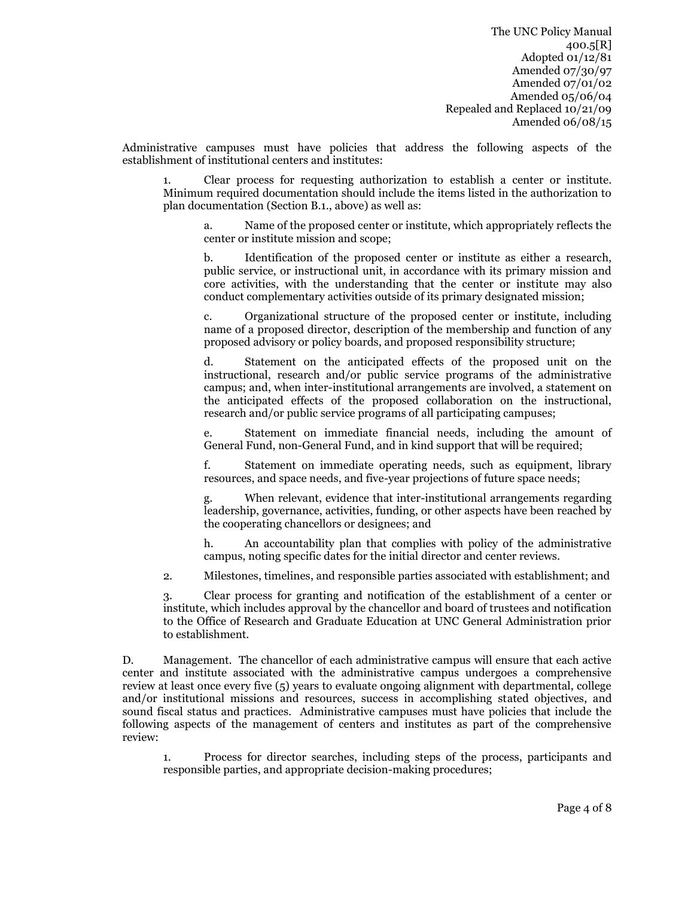Administrative campuses must have policies that address the following aspects of the establishment of institutional centers and institutes:

1. Clear process for requesting authorization to establish a center or institute. Minimum required documentation should include the items listed in the authorization to plan documentation (Section B.1., above) as well as:

a. Name of the proposed center or institute, which appropriately reflects the center or institute mission and scope;

b. Identification of the proposed center or institute as either a research, public service, or instructional unit, in accordance with its primary mission and core activities, with the understanding that the center or institute may also conduct complementary activities outside of its primary designated mission;

c. Organizational structure of the proposed center or institute, including name of a proposed director, description of the membership and function of any proposed advisory or policy boards, and proposed responsibility structure;

d. Statement on the anticipated effects of the proposed unit on the instructional, research and/or public service programs of the administrative campus; and, when inter-institutional arrangements are involved, a statement on the anticipated effects of the proposed collaboration on the instructional, research and/or public service programs of all participating campuses;

e. Statement on immediate financial needs, including the amount of General Fund, non-General Fund, and in kind support that will be required;

f. Statement on immediate operating needs, such as equipment, library resources, and space needs, and five-year projections of future space needs;

When relevant, evidence that inter-institutional arrangements regarding leadership, governance, activities, funding, or other aspects have been reached by the cooperating chancellors or designees; and

h. An accountability plan that complies with policy of the administrative campus, noting specific dates for the initial director and center reviews.

2. Milestones, timelines, and responsible parties associated with establishment; and

3. Clear process for granting and notification of the establishment of a center or institute, which includes approval by the chancellor and board of trustees and notification to the Office of Research and Graduate Education at UNC General Administration prior to establishment.

D. Management. The chancellor of each administrative campus will ensure that each active center and institute associated with the administrative campus undergoes a comprehensive review at least once every five (5) years to evaluate ongoing alignment with departmental, college and/or institutional missions and resources, success in accomplishing stated objectives, and sound fiscal status and practices. Administrative campuses must have policies that include the following aspects of the management of centers and institutes as part of the comprehensive review:

1. Process for director searches, including steps of the process, participants and responsible parties, and appropriate decision-making procedures;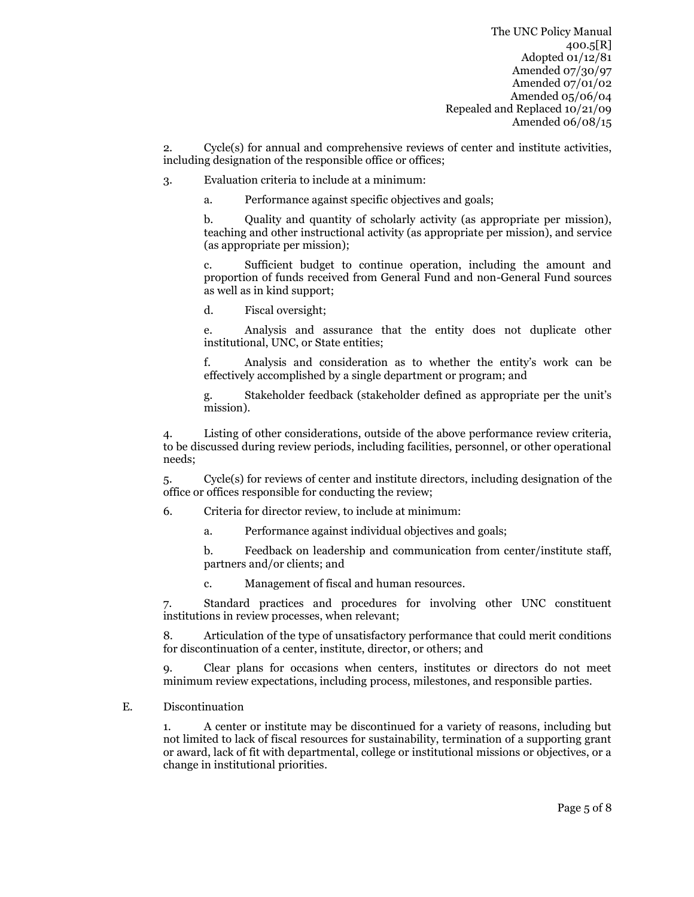2. Cycle(s) for annual and comprehensive reviews of center and institute activities, including designation of the responsible office or offices;

3. Evaluation criteria to include at a minimum:

a. Performance against specific objectives and goals;

b. Quality and quantity of scholarly activity (as appropriate per mission), teaching and other instructional activity (as appropriate per mission), and service (as appropriate per mission);

c. Sufficient budget to continue operation, including the amount and proportion of funds received from General Fund and non-General Fund sources as well as in kind support;

d. Fiscal oversight;

e. Analysis and assurance that the entity does not duplicate other institutional, UNC, or State entities;

f. Analysis and consideration as to whether the entity's work can be effectively accomplished by a single department or program; and

g. Stakeholder feedback (stakeholder defined as appropriate per the unit's mission).

4. Listing of other considerations, outside of the above performance review criteria, to be discussed during review periods, including facilities, personnel, or other operational needs;

5. Cycle(s) for reviews of center and institute directors, including designation of the office or offices responsible for conducting the review;

6. Criteria for director review, to include at minimum:

a. Performance against individual objectives and goals;

b. Feedback on leadership and communication from center/institute staff, partners and/or clients; and

c. Management of fiscal and human resources.

7. Standard practices and procedures for involving other UNC constituent institutions in review processes, when relevant;

8. Articulation of the type of unsatisfactory performance that could merit conditions for discontinuation of a center, institute, director, or others; and

9. Clear plans for occasions when centers, institutes or directors do not meet minimum review expectations, including process, milestones, and responsible parties.

#### E. Discontinuation

1. A center or institute may be discontinued for a variety of reasons, including but not limited to lack of fiscal resources for sustainability, termination of a supporting grant or award, lack of fit with departmental, college or institutional missions or objectives, or a change in institutional priorities.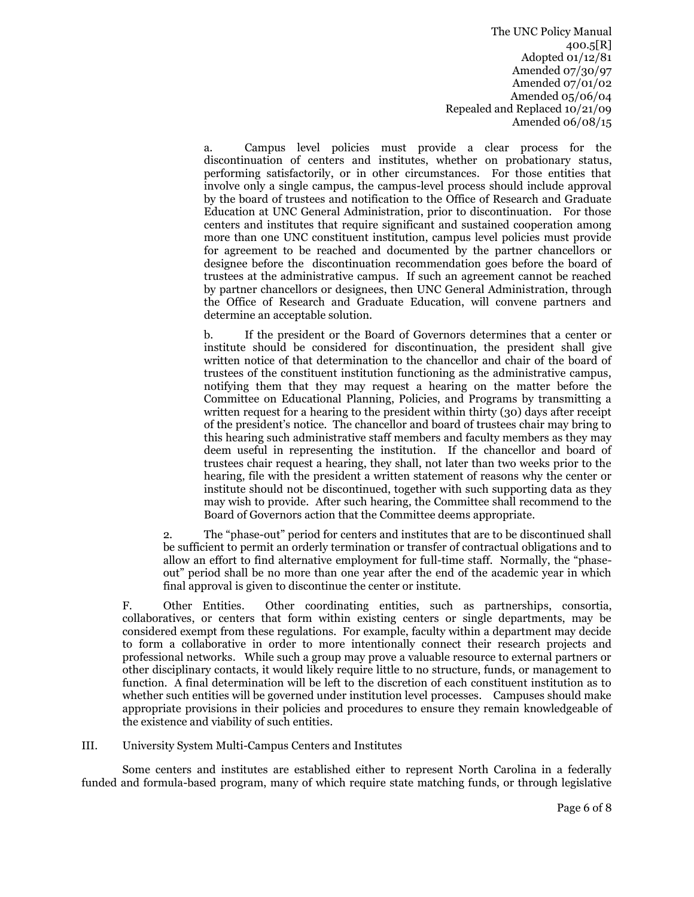a. Campus level policies must provide a clear process for the discontinuation of centers and institutes, whether on probationary status, performing satisfactorily, or in other circumstances. For those entities that involve only a single campus, the campus-level process should include approval by the board of trustees and notification to the Office of Research and Graduate Education at UNC General Administration, prior to discontinuation. For those centers and institutes that require significant and sustained cooperation among more than one UNC constituent institution, campus level policies must provide for agreement to be reached and documented by the partner chancellors or designee before the discontinuation recommendation goes before the board of trustees at the administrative campus. If such an agreement cannot be reached by partner chancellors or designees, then UNC General Administration, through the Office of Research and Graduate Education, will convene partners and determine an acceptable solution.

b. If the president or the Board of Governors determines that a center or institute should be considered for discontinuation, the president shall give written notice of that determination to the chancellor and chair of the board of trustees of the constituent institution functioning as the administrative campus, notifying them that they may request a hearing on the matter before the Committee on Educational Planning, Policies, and Programs by transmitting a written request for a hearing to the president within thirty (30) days after receipt of the president's notice. The chancellor and board of trustees chair may bring to this hearing such administrative staff members and faculty members as they may deem useful in representing the institution. If the chancellor and board of trustees chair request a hearing, they shall, not later than two weeks prior to the hearing, file with the president a written statement of reasons why the center or institute should not be discontinued, together with such supporting data as they may wish to provide. After such hearing, the Committee shall recommend to the Board of Governors action that the Committee deems appropriate.

2. The "phase-out" period for centers and institutes that are to be discontinued shall be sufficient to permit an orderly termination or transfer of contractual obligations and to allow an effort to find alternative employment for full-time staff. Normally, the "phaseout" period shall be no more than one year after the end of the academic year in which final approval is given to discontinue the center or institute.

F. Other Entities. Other coordinating entities, such as partnerships, consortia, collaboratives, or centers that form within existing centers or single departments, may be considered exempt from these regulations. For example, faculty within a department may decide to form a collaborative in order to more intentionally connect their research projects and professional networks. While such a group may prove a valuable resource to external partners or other disciplinary contacts, it would likely require little to no structure, funds, or management to function. A final determination will be left to the discretion of each constituent institution as to whether such entities will be governed under institution level processes. Campuses should make appropriate provisions in their policies and procedures to ensure they remain knowledgeable of the existence and viability of such entities.

#### III. University System Multi-Campus Centers and Institutes

Some centers and institutes are established either to represent North Carolina in a federally funded and formula-based program, many of which require state matching funds, or through legislative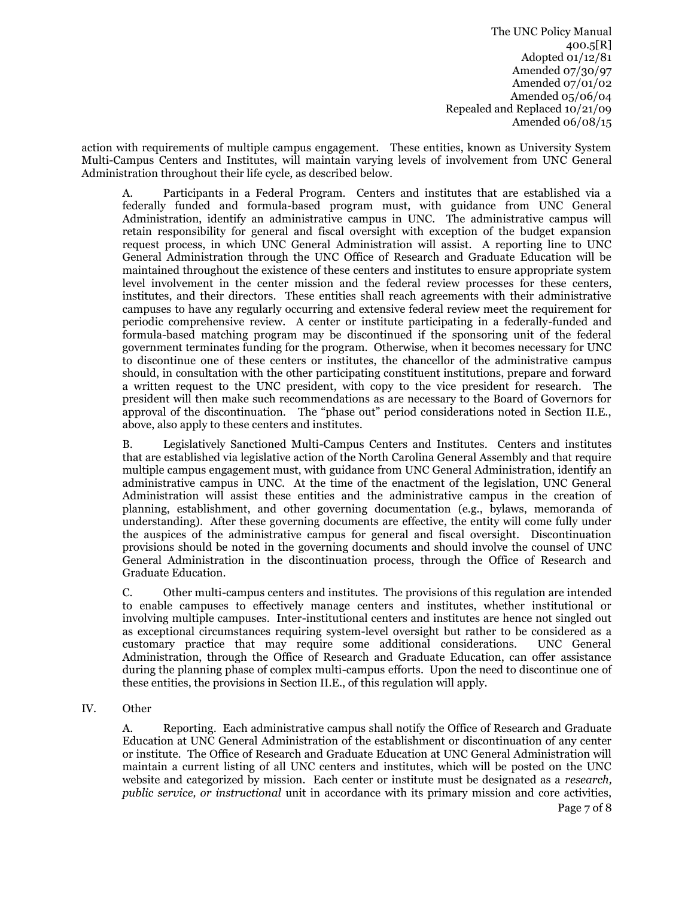action with requirements of multiple campus engagement. These entities, known as University System Multi-Campus Centers and Institutes, will maintain varying levels of involvement from UNC General Administration throughout their life cycle, as described below.

A. Participants in a Federal Program. Centers and institutes that are established via a federally funded and formula-based program must, with guidance from UNC General Administration, identify an administrative campus in UNC. The administrative campus will retain responsibility for general and fiscal oversight with exception of the budget expansion request process, in which UNC General Administration will assist. A reporting line to UNC General Administration through the UNC Office of Research and Graduate Education will be maintained throughout the existence of these centers and institutes to ensure appropriate system level involvement in the center mission and the federal review processes for these centers, institutes, and their directors. These entities shall reach agreements with their administrative campuses to have any regularly occurring and extensive federal review meet the requirement for periodic comprehensive review. A center or institute participating in a federally-funded and formula-based matching program may be discontinued if the sponsoring unit of the federal government terminates funding for the program. Otherwise, when it becomes necessary for UNC to discontinue one of these centers or institutes, the chancellor of the administrative campus should, in consultation with the other participating constituent institutions, prepare and forward a written request to the UNC president, with copy to the vice president for research. The president will then make such recommendations as are necessary to the Board of Governors for approval of the discontinuation. The "phase out" period considerations noted in Section II.E., above, also apply to these centers and institutes.

B. Legislatively Sanctioned Multi-Campus Centers and Institutes. Centers and institutes that are established via legislative action of the North Carolina General Assembly and that require multiple campus engagement must, with guidance from UNC General Administration, identify an administrative campus in UNC. At the time of the enactment of the legislation, UNC General Administration will assist these entities and the administrative campus in the creation of planning, establishment, and other governing documentation (e.g., bylaws, memoranda of understanding). After these governing documents are effective, the entity will come fully under the auspices of the administrative campus for general and fiscal oversight. Discontinuation provisions should be noted in the governing documents and should involve the counsel of UNC General Administration in the discontinuation process, through the Office of Research and Graduate Education.

C. Other multi-campus centers and institutes. The provisions of this regulation are intended to enable campuses to effectively manage centers and institutes, whether institutional or involving multiple campuses. Inter-institutional centers and institutes are hence not singled out as exceptional circumstances requiring system-level oversight but rather to be considered as a customary practice that may require some additional considerations. UNC General Administration, through the Office of Research and Graduate Education, can offer assistance during the planning phase of complex multi-campus efforts. Upon the need to discontinue one of these entities, the provisions in Section II.E., of this regulation will apply.

IV. Other

A. Reporting. Each administrative campus shall notify the Office of Research and Graduate Education at UNC General Administration of the establishment or discontinuation of any center or institute. The Office of Research and Graduate Education at UNC General Administration will maintain a current listing of all UNC centers and institutes, which will be posted on the UNC website and categorized by mission. Each center or institute must be designated as a *research, public service, or instructional* unit in accordance with its primary mission and core activities,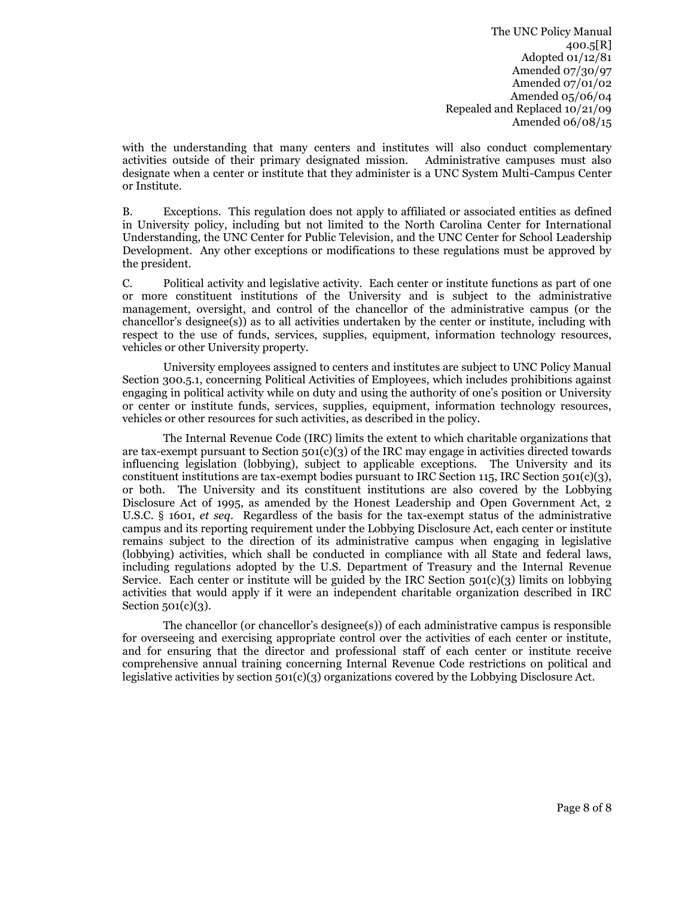with the understanding that many centers and institutes will also conduct complementary activities outside of their primary designated mission. Administrative campuses must also designate when a center or institute that they administer is a UNC System Multi-Campus Center or Institute.

B. Exceptions. This regulation does not apply to affiliated or associated entities as defined in University policy, including but not limited to the North Carolina Center for International Understanding, the UNC Center for Public Television, and the UNC Center for School Leadership Development. Any other exceptions or modifications to these regulations must be approved by the president.

C. Political activity and legislative activity. Each center or institute functions as part of one or more constituent institutions of the University and is subject to the administrative management, oversight, and control of the chancellor of the administrative campus (or the chancellor's designee(s)) as to all activities undertaken by the center or institute, including with respect to the use of funds, services, supplies, equipment, information technology resources, vehicles or other University property.

University employees assigned to centers and institutes are subject to UNC Policy Manual Section 300.5.1, concerning Political Activities of Employees, which includes prohibitions against engaging in political activity while on duty and using the authority of one's position or University or center or institute funds, services, supplies, equipment, information technology resources, vehicles or other resources for such activities, as described in the policy.

The Internal Revenue Code (IRC) limits the extent to which charitable organizations that are tax-exempt pursuant to Section  $501(c)(3)$  of the IRC may engage in activities directed towards influencing legislation (lobbying), subject to applicable exceptions. The University and its constituent institutions are tax-exempt bodies pursuant to IRC Section 115, IRC Section 501(c)(3), or both. The University and its constituent institutions are also covered by the Lobbying Disclosure Act of 1995, as amended by the Honest Leadership and Open Government Act, 2 U.S.C. § 1601, *et seq*. Regardless of the basis for the tax-exempt status of the administrative campus and its reporting requirement under the Lobbying Disclosure Act, each center or institute remains subject to the direction of its administrative campus when engaging in legislative (lobbying) activities, which shall be conducted in compliance with all State and federal laws, including regulations adopted by the U.S. Department of Treasury and the Internal Revenue Service. Each center or institute will be guided by the IRC Section  $501(c)(3)$  limits on lobbying activities that would apply if it were an independent charitable organization described in IRC Section  $501(c)(3)$ .

The chancellor (or chancellor's designee(s)) of each administrative campus is responsible for overseeing and exercising appropriate control over the activities of each center or institute, and for ensuring that the director and professional staff of each center or institute receive comprehensive annual training concerning Internal Revenue Code restrictions on political and legislative activities by section 501(c)(3) organizations covered by the Lobbying Disclosure Act.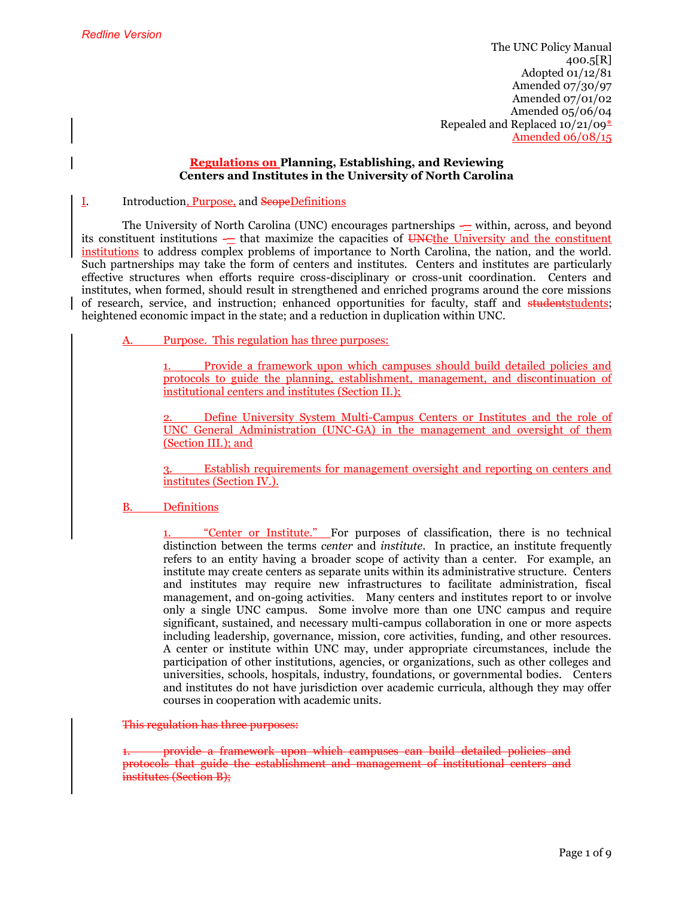#### **Regulations on Planning, Establishing, and Reviewing Centers and Institutes in the University of North Carolina**

#### I. Introduction, Purpose, and ScopeDefinitions

The University of North Carolina (UNC) encourages partnerships — within, across, and beyond its constituent institutions — that maximize the capacities of UNCthe University and the constituent institutions to address complex problems of importance to North Carolina, the nation, and the world. Such partnerships may take the form of centers and institutes. Centers and institutes are particularly effective structures when efforts require cross-disciplinary or cross-unit coordination. Centers and institutes, when formed, should result in strengthened and enriched programs around the core missions of research, service, and instruction; enhanced opportunities for faculty, staff and studentstudents; heightened economic impact in the state; and a reduction in duplication within UNC.

Purpose. This regulation has three purposes:

1. Provide a framework upon which campuses should build detailed policies and protocols to guide the planning, establishment, management, and discontinuation of institutional centers and institutes (Section II.);

2. Define University System Multi-Campus Centers or Institutes and the role of UNC General Administration (UNC-GA) in the management and oversight of them (Section III.); and

3. Establish requirements for management oversight and reporting on centers and institutes (Section IV.).

#### B. Definitions

"Center or Institute." For purposes of classification, there is no technical distinction between the terms *center* and *institute*. In practice, an institute frequently refers to an entity having a broader scope of activity than a center. For example, an institute may create centers as separate units within its administrative structure. Centers and institutes may require new infrastructures to facilitate administration, fiscal management, and on-going activities. Many centers and institutes report to or involve only a single UNC campus. Some involve more than one UNC campus and require significant, sustained, and necessary multi-campus collaboration in one or more aspects including leadership, governance, mission, core activities, funding, and other resources. A center or institute within UNC may, under appropriate circumstances, include the participation of other institutions, agencies, or organizations, such as other colleges and universities, schools, hospitals, industry, foundations, or governmental bodies. Centers and institutes do not have jurisdiction over academic curricula, although they may offer courses in cooperation with academic units.

This regulation has three purposes:

1. provide a framework upon which campuses can build detailed policies and protocols that guide the establishment and management of institutional centers and institutes (Section B);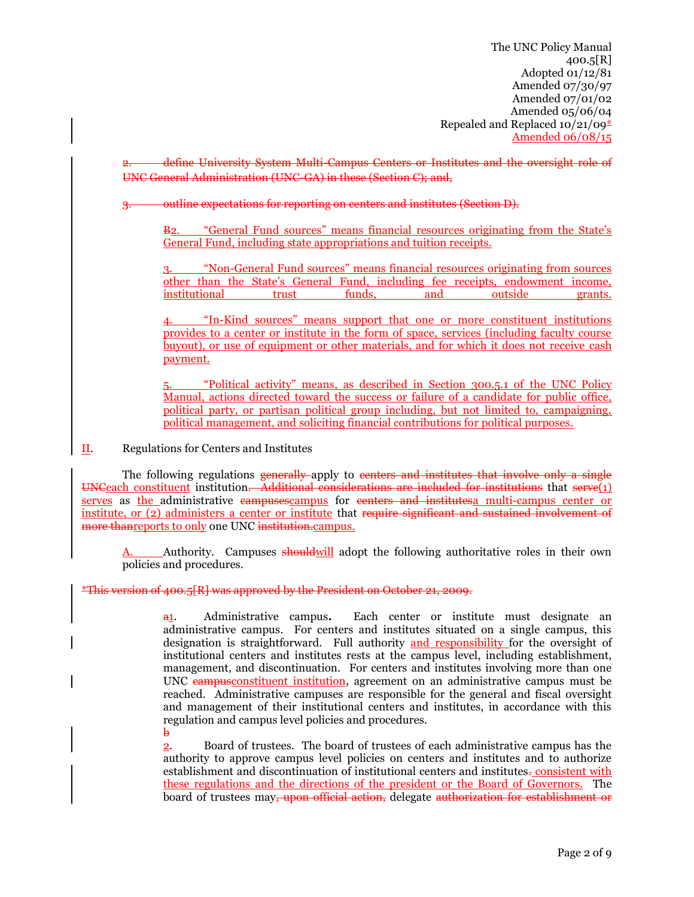University System Multi-Campus Centers or Institutes and the oversight role of UNC General Administration (UNC-GA) in these (Section C); and,

#### outline expectations for reporting on centers and institutes (Section D).

B2. "General Fund sources" means financial resources originating from the State's General Fund, including state appropriations and tuition receipts.

3. "Non-General Fund sources" means financial resources originating from sources other than the State's General Fund, including fee receipts, endowment income, institutional trust funds, and outside grants.

4. "In-Kind sources" means support that one or more constituent institutions provides to a center or institute in the form of space, services (including faculty course buyout), or use of equipment or other materials, and for which it does not receive cash payment.

5. "Political activity" means, as described in Section 300.5.1 of the UNC Policy Manual, actions directed toward the success or failure of a candidate for public office, political party, or partisan political group including, but not limited to, campaigning, political management, and soliciting financial contributions for political purposes.

II. Regulations for Centers and Institutes

The following regulations generally apply to centers and institutes that involve only a single UNCeach constituent institution. Additional considerations are included for institutions that serve(1) serves as the administrative eampuses campus for eenters and institutes a multi-campus center or institute, or (2) administers a center or institute that require significant and sustained involvement of more than reports to only one UNC institution.campus.

Authority. Campuses shouldwill adopt the following authoritative roles in their own policies and procedures.

#### \*This version of 400.5[R] was approved by the President on October 21, 2009.

a1. Administrative campus**.** Each center or institute must designate an administrative campus. For centers and institutes situated on a single campus, this designation is straightforward. Full authority and responsibility for the oversight of institutional centers and institutes rests at the campus level, including establishment, management, and discontinuation.For centers and institutes involving more than one UNC campusconstituent institution, agreement on an administrative campus must be reached. Administrative campuses are responsible for the general and fiscal oversight and management of their institutional centers and institutes, in accordance with this regulation and campus level policies and procedures.  $\mathbf{h}$ 

2. Board of trustees. The board of trustees of each administrative campus has the authority to approve campus level policies on centers and institutes and to authorize establishment and discontinuation of institutional centers and institutes-consistent with these regulations and the directions of the president or the Board of Governors. The board of trustees may<del>, upon official action,</del> delegate authorization for establishment or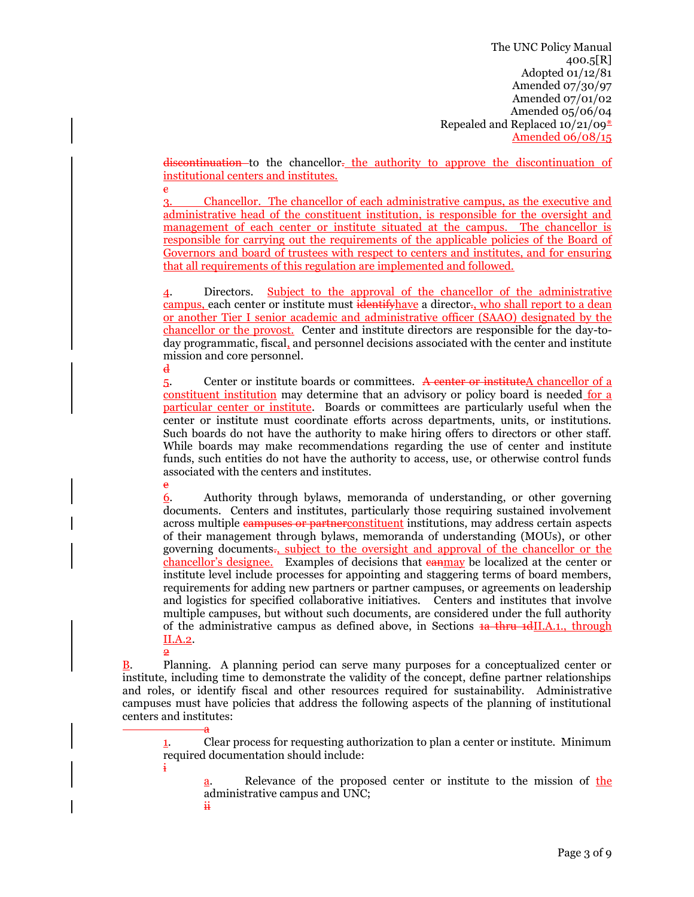discontinuation to the chancellor. the authority to approve the discontinuation of institutional centers and institutes.

3. Chancellor. The chancellor of each administrative campus, as the executive and administrative head of the constituent institution, is responsible for the oversight and management of each center or institute situated at the campus. The chancellor is responsible for carrying out the requirements of the applicable policies of the Board of Governors and board of trustees with respect to centers and institutes, and for ensuring that all requirements of this regulation are implemented and followed.

4. Directors.Subject to the approval of the chancellor of the administrative campus, each center or institute must identify have a director., who shall report to a dean or another Tier I senior academic and administrative officer (SAAO) designated by the chancellor or the provost. Center and institute directors are responsible for the day-today programmatic, fiscal, and personnel decisions associated with the center and institute mission and core personnel.

d

e

e

5. Center or institute boards or committees. A center or instituteA chancellor of a constituent institution may determine that an advisory or policy board is needed for a particular center or institute. Boards or committees are particularly useful when the center or institute must coordinate efforts across departments, units, or institutions. Such boards do not have the authority to make hiring offers to directors or other staff. While boards may make recommendations regarding the use of center and institute funds, such entities do not have the authority to access, use, or otherwise control funds associated with the centers and institutes.

6. Authority through bylaws, memoranda of understanding, or other governing documents. Centers and institutes, particularly those requiring sustained involvement across multiple campuses or partner constituent institutions, may address certain aspects of their management through bylaws, memoranda of understanding (MOUs), or other governing documents., subject to the oversight and approval of the chancellor or the chancellor's designee. Examples of decisions that **earmal** be localized at the center or institute level include processes for appointing and staggering terms of board members, requirements for adding new partners or partner campuses, or agreements on leadership and logistics for specified collaborative initiatives. Centers and institutes that involve multiple campuses, but without such documents, are considered under the full authority of the administrative campus as defined above, in Sections  $\frac{1}{4}$  through the administrative campus as defined above, in Sections  $\frac{1}{4}$  through II.A.2. م

B. Planning. A planning period can serve many purposes for a conceptualized center or institute, including time to demonstrate the validity of the concept, define partner relationships and roles, or identify fiscal and other resources required for sustainability. Administrative campuses must have policies that address the following aspects of the planning of institutional centers and institutes:

a 1. Clear process for requesting authorization to plan a center or institute. Minimum required documentation should include:

a. Relevance of the proposed center or institute to the mission of the administrative campus and UNC;

ii

i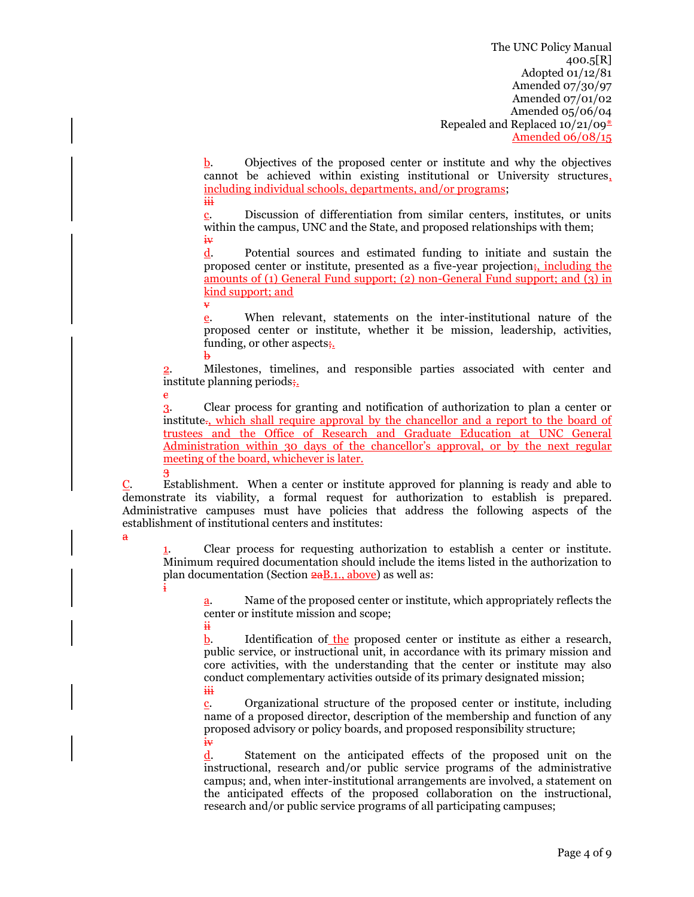$\underline{b}$ . Objectives of the proposed center or institute and why the objectives cannot be achieved within existing institutional or University structures, including individual schools, departments, and/or programs; iii

c. Discussion of differentiation from similar centers, institutes, or units within the campus, UNC and the State, and proposed relationships with them; iv

d. Potential sources and estimated funding to initiate and sustain the proposed center or institute, presented as a five-year projection;, including the amounts of (1) General Fund support; (2) non-General Fund support; and (3) in kind support; and

v e. When relevant, statements on the inter-institutional nature of the proposed center or institute, whether it be mission, leadership, activities, funding, or other aspects<sub>i</sub>. b

2. Milestones, timelines, and responsible parties associated with center and institute planning periods;.

c 3. Clear process for granting and notification of authorization to plan a center or institute., which shall require approval by the chancellor and a report to the board of trustees and the Office of Research and Graduate Education at UNC General Administration within 30 days of the chancellor's approval, or by the next regular meeting of the board, whichever is later.

3 C. Establishment.When a center or institute approved for planning is ready and able to demonstrate its viability, a formal request for authorization to establish is prepared. Administrative campuses must have policies that address the following aspects of the establishment of institutional centers and institutes:

a

ii

1. Clear process for requesting authorization to establish a center or institute. Minimum required documentation should include the items listed in the authorization to plan documentation (Section  $2aB.1$ ., above) as well as: i

a. Name of the proposed center or institute, which appropriately reflects the center or institute mission and scope;

b. Identification of the proposed center or institute as either a research, public service, or instructional unit, in accordance with its primary mission and core activities, with the understanding that the center or institute may also conduct complementary activities outside of its primary designated mission; iii

c. Organizational structure of the proposed center or institute, including name of a proposed director, description of the membership and function of any proposed advisory or policy boards, and proposed responsibility structure; iv

d. Statement on the anticipated effects of the proposed unit on the instructional, research and/or public service programs of the administrative campus; and, when inter-institutional arrangements are involved, a statement on the anticipated effects of the proposed collaboration on the instructional, research and/or public service programs of all participating campuses;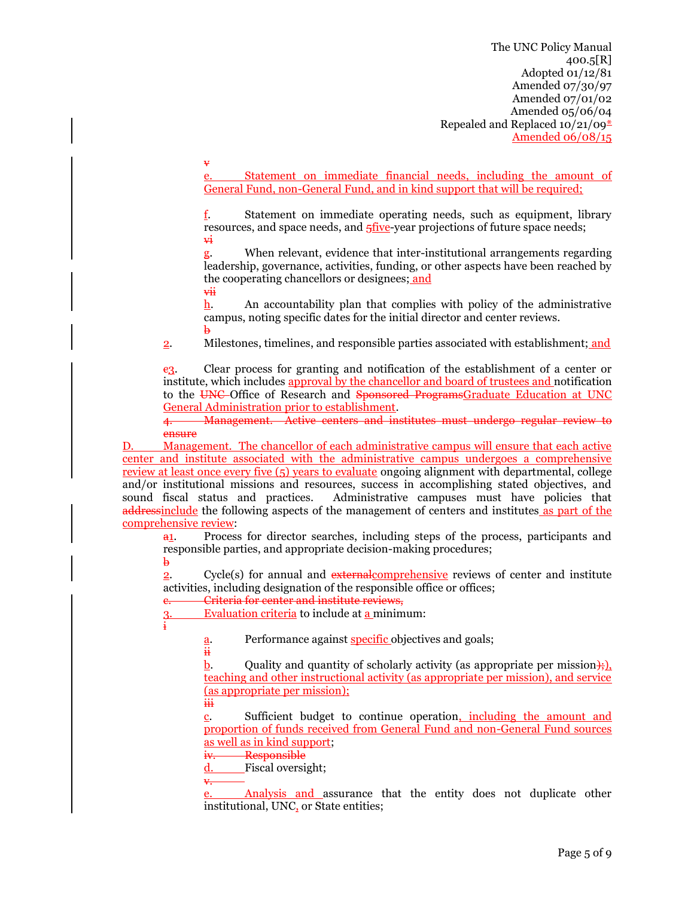e. Statement on immediate financial needs, including the amount of General Fund, non-General Fund, and in kind support that will be required;

f. Statement on immediate operating needs, such as equipment, library resources, and space needs, and  $\frac{1}{2}$  five-year projections of future space needs; vi

g. When relevant, evidence that inter-institutional arrangements regarding leadership, governance, activities, funding, or other aspects have been reached by the cooperating chancellors or designees; and vii

h. An accountability plan that complies with policy of the administrative campus, noting specific dates for the initial director and center reviews.  $\mathbf{b}$ 

2. Milestones, timelines, and responsible parties associated with establishment; and

c3. Clear process for granting and notification of the establishment of a center or institute, which includes approval by the chancellor and board of trustees and notification to the UNC Office of Research and Sponsored ProgramsGraduate Education at UNC General Administration prior to establishment.

4. Management. Active centers and institutes must undergo regular review to ensure

D. Management. The chancellor of each administrative campus will ensure that each active center and institute associated with the administrative campus undergoes a comprehensive review at least once every five (5) years to evaluate ongoing alignment with departmental, college and/or institutional missions and resources, success in accomplishing stated objectives, and sound fiscal status and practices. Administrative campuses must have policies that addressinclude the following aspects of the management of centers and institutes as part of the comprehensive review:

a1. Process for director searches, including steps of the process, participants and responsible parties, and appropriate decision-making procedures;  $\mathbf{h}$ 

2. Cycle(s) for annual and external comprehensive reviews of center and institute activities, including designation of the responsible office or offices;

Criteria for center and institute reviews.

Evaluation criteria to include at a minimum:

i

Performance against specific objectives and goals;

 $\frac{a}{ii}$ 

v

b. Ouality and quantity of scholarly activity (as appropriate per mission);), teaching and other instructional activity (as appropriate per mission), and service (as appropriate per mission); iii

c. Sufficient budget to continue operation, including the amount and proportion of funds received from General Fund and non-General Fund sources as well as in kind support;

iv. Responsible

d. Fiscal oversight;

v.

Analysis and assurance that the entity does not duplicate other institutional, UNC, or State entities;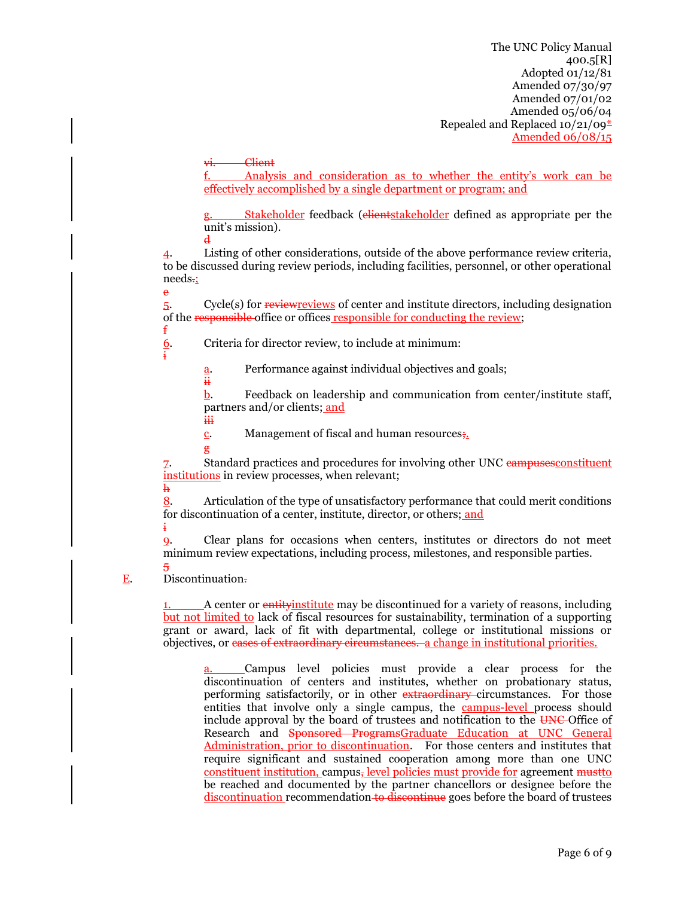Client.

f. Analysis and consideration as to whether the entity's work can be effectively accomplished by a single department or program; and

Stakeholder feedback (elientstakeholder defined as appropriate per the unit's mission). d

4. Listing of other considerations, outside of the above performance review criteria, to be discussed during review periods, including facilities, personnel, or other operational needs. e

5. Cycle(s) for review reviews of center and institute directors, including designation of the responsible office or offices responsible for conducting the review; f

6. Criteria for director review, to include at minimum:

i

h

5

a. Performance against individual objectives and goals;

b. Feedback on leadership and communication from center/institute staff, partners and/or clients; and iii

<u>c</u>. Management of fiscal and human resources.

g

ii

7. Standard practices and procedures for involving other UNC campusesconstituent institutions in review processes, when relevant;

8. Articulation of the type of unsatisfactory performance that could merit conditions for discontinuation of a center, institute, director, or others; and

i 9. Clear plans for occasions when centers, institutes or directors do not meet minimum review expectations, including process, milestones, and responsible parties.

E. Discontinuation.

1. A center or entityinstitute may be discontinued for a variety of reasons, including but not limited to lack of fiscal resources for sustainability, termination of a supporting grant or award, lack of fit with departmental, college or institutional missions or objectives, or cases of extraordinary circumstances. a change in institutional priorities.

a. Campus level policies must provide a clear process for the discontinuation of centers and institutes, whether on probationary status, performing satisfactorily, or in other extraordinary circumstances. For those entities that involve only a single campus, the **campus-level** process should include approval by the board of trustees and notification to the UNC Office of Research and Sponsored ProgramsGraduate Education at UNC General Administration, prior to discontinuation. For those centers and institutes that require significant and sustained cooperation among more than one UNC constituent institution, campus, level policies must provide for agreement  $\frac{m}{m}$ be reached and documented by the partner chancellors or designee before the discontinuation recommendation to discontinue goes before the board of trustees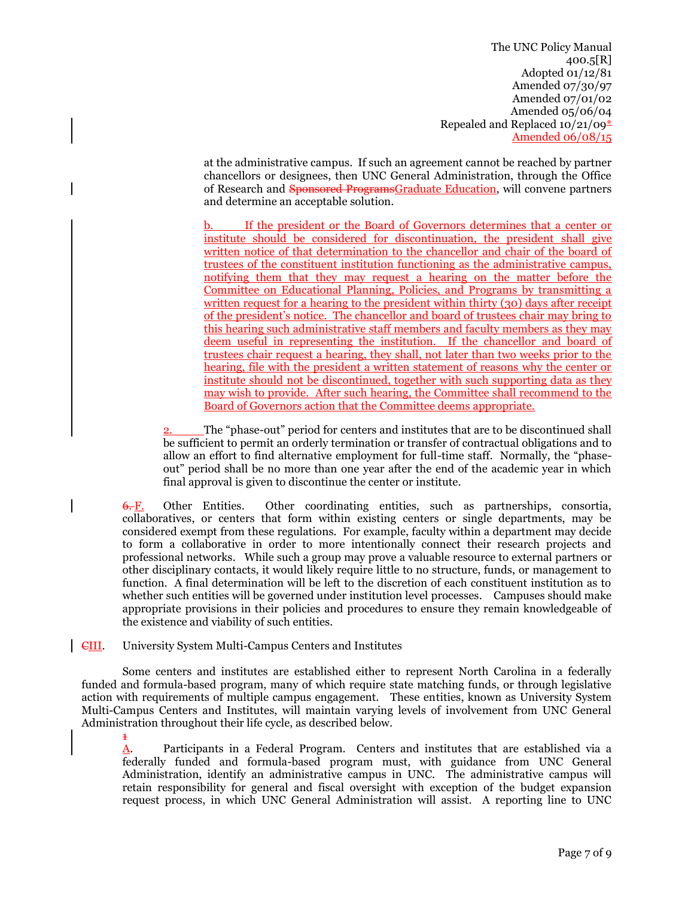at the administrative campus. If such an agreement cannot be reached by partner chancellors or designees, then UNC General Administration, through the Office of Research and Sponsored ProgramsGraduate Education, will convene partners and determine an acceptable solution.

b. If the president or the Board of Governors determines that a center or institute should be considered for discontinuation, the president shall give written notice of that determination to the chancellor and chair of the board of trustees of the constituent institution functioning as the administrative campus, notifying them that they may request a hearing on the matter before the Committee on Educational Planning, Policies, and Programs by transmitting a written request for a hearing to the president within thirty (30) days after receipt of the president's notice. The chancellor and board of trustees chair may bring to this hearing such administrative staff members and faculty members as they may deem useful in representing the institution. If the chancellor and board of trustees chair request a hearing, they shall, not later than two weeks prior to the hearing, file with the president a written statement of reasons why the center or institute should not be discontinued, together with such supporting data as they may wish to provide. After such hearing, the Committee shall recommend to the Board of Governors action that the Committee deems appropriate.

2. The "phase-out" period for centers and institutes that are to be discontinued shall be sufficient to permit an orderly termination or transfer of contractual obligations and to allow an effort to find alternative employment for full-time staff. Normally, the "phaseout" period shall be no more than one year after the end of the academic year in which final approval is given to discontinue the center or institute.

6. F. Other Entities. Other coordinating entities, such as partnerships, consortia, collaboratives, or centers that form within existing centers or single departments, may be considered exempt from these regulations. For example, faculty within a department may decide to form a collaborative in order to more intentionally connect their research projects and professional networks. While such a group may prove a valuable resource to external partners or other disciplinary contacts, it would likely require little to no structure, funds, or management to function. A final determination will be left to the discretion of each constituent institution as to whether such entities will be governed under institution level processes. Campuses should make appropriate provisions in their policies and procedures to ensure they remain knowledgeable of the existence and viability of such entities.

CIII. University System Multi-Campus Centers and Institutes

1

Some centers and institutes are established either to represent North Carolina in a federally funded and formula-based program, many of which require state matching funds, or through legislative action with requirements of multiple campus engagement. These entities, known as University System Multi-Campus Centers and Institutes, will maintain varying levels of involvement from UNC General Administration throughout their life cycle, as described below.

A. Participants in a Federal Program. Centers and institutes that are established via a federally funded and formula-based program must, with guidance from UNC General Administration, identify an administrative campus in UNC. The administrative campus will retain responsibility for general and fiscal oversight with exception of the budget expansion request process, in which UNC General Administration will assist. A reporting line to UNC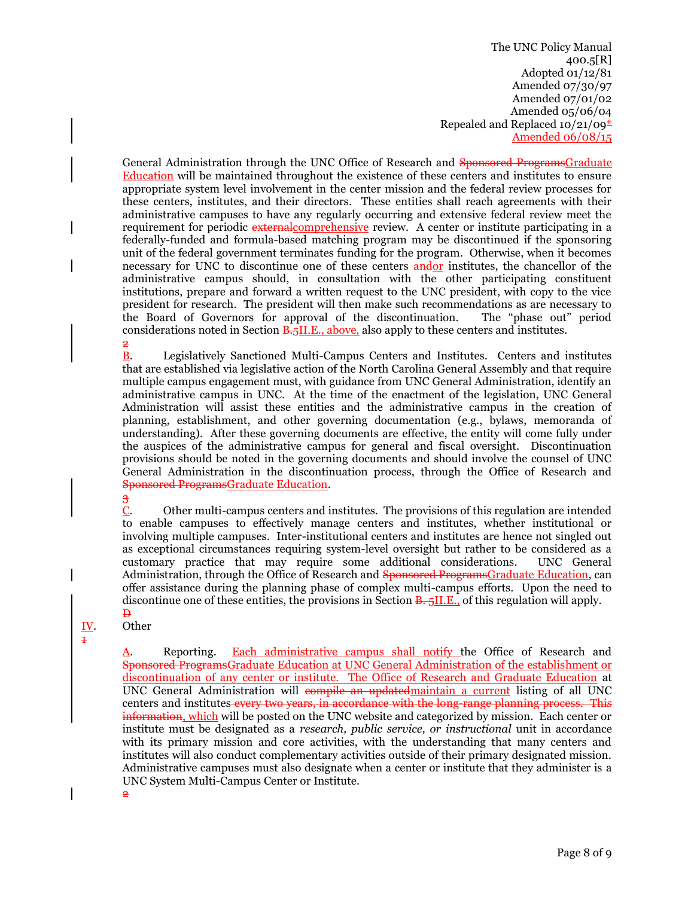General Administration through the UNC Office of Research and Sponsored ProgramsGraduate Education will be maintained throughout the existence of these centers and institutes to ensure appropriate system level involvement in the center mission and the federal review processes for these centers, institutes, and their directors. These entities shall reach agreements with their administrative campuses to have any regularly occurring and extensive federal review meet the requirement for periodic external comprehensive review. A center or institute participating in a federally-funded and formula-based matching program may be discontinued if the sponsoring unit of the federal government terminates funding for the program. Otherwise, when it becomes necessary for UNC to discontinue one of these centers **andor** institutes, the chancellor of the administrative campus should, in consultation with the other participating constituent institutions, prepare and forward a written request to the UNC president, with copy to the vice president for research. The president will then make such recommendations as are necessary to the Board of Governors for approval of the discontinuation. The "phase out" period considerations noted in Section **B.5II.E.**, above, also apply to these centers and institutes. 2

B. Legislatively Sanctioned Multi-Campus Centers and Institutes. Centers and institutes that are established via legislative action of the North Carolina General Assembly and that require multiple campus engagement must, with guidance from UNC General Administration, identify an administrative campus in UNC. At the time of the enactment of the legislation, UNC General Administration will assist these entities and the administrative campus in the creation of planning, establishment, and other governing documentation (e.g., bylaws, memoranda of understanding). After these governing documents are effective, the entity will come fully under the auspices of the administrative campus for general and fiscal oversight. Discontinuation provisions should be noted in the governing documents and should involve the counsel of UNC General Administration in the discontinuation process, through the Office of Research and Sponsored ProgramsGraduate Education.

3

C. Other multi-campus centers and institutes. The provisions of this regulation are intended to enable campuses to effectively manage centers and institutes, whether institutional or involving multiple campuses. Inter-institutional centers and institutes are hence not singled out as exceptional circumstances requiring system-level oversight but rather to be considered as a customary practice that may require some additional considerations. UNC General Administration, through the Office of Research and Sponsored ProgramsGraduate Education, can offer assistance during the planning phase of complex multi-campus efforts. Upon the need to discontinue one of these entities, the provisions in Section  $\overline{B_{15}}$ . Section  $\overline{B_{16}}$ , of this regulation will apply.

#### $\mathbf{B}$ IV. Other

 $\overline{2}$ 

1

A. Reporting. Each administrative campus shall notify the Office of Research and Sponsored ProgramsGraduate Education at UNC General Administration of the establishment or discontinuation of any center or institute. The Office of Research and Graduate Education at UNC General Administration will compile an updatedmaintain a current listing of all UNC centers and institutes every two years, in accordance with the long-range planning process. This information, which will be posted on the UNC website and categorized by mission. Each center or institute must be designated as a *research, public service, or instructional* unit in accordance with its primary mission and core activities, with the understanding that many centers and institutes will also conduct complementary activities outside of their primary designated mission. Administrative campuses must also designate when a center or institute that they administer is a UNC System Multi-Campus Center or Institute.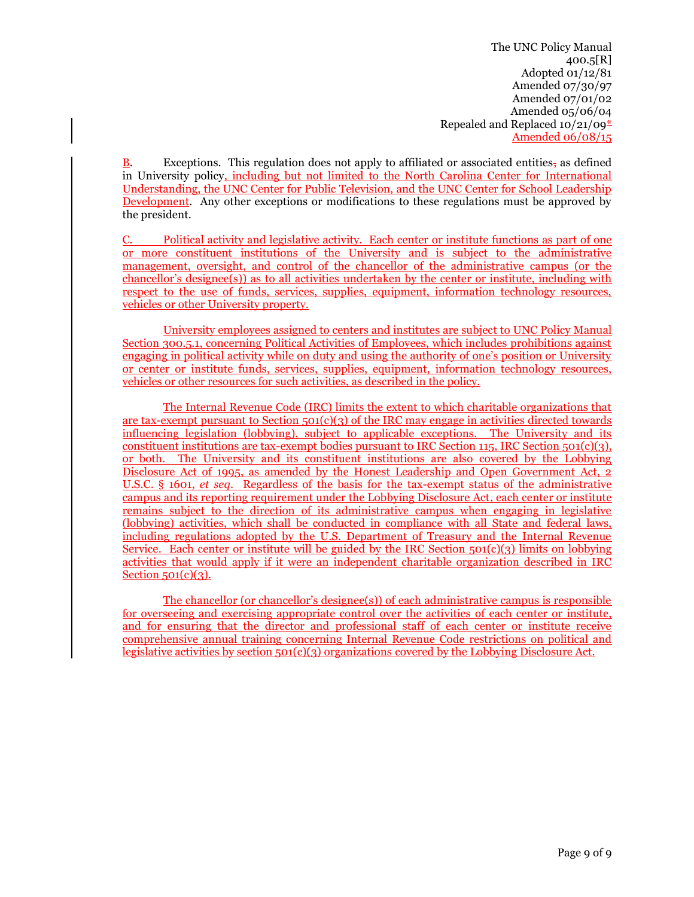**B.** Exceptions. This regulation does not apply to affiliated or associated entities, as defined in University policy, including but not limited to the North Carolina Center for International Understanding, the UNC Center for Public Television, and the UNC Center for School Leadership Development. Any other exceptions or modifications to these regulations must be approved by the president.

C. Political activity and legislative activity. Each center or institute functions as part of one or more constituent institutions of the University and is subject to the administrative management, oversight, and control of the chancellor of the administrative campus (or the  $chancello's designer(s)$ ) as to all activities undertaken by the center or institute, including with respect to the use of funds, services, supplies, equipment, information technology resources, vehicles or other University property.

University employees assigned to centers and institutes are subject to UNC Policy Manual Section 300.5.1, concerning Political Activities of Employees, which includes prohibitions against engaging in political activity while on duty and using the authority of one's position or University or center or institute funds, services, supplies, equipment, information technology resources, vehicles or other resources for such activities, as described in the policy.

The Internal Revenue Code (IRC) limits the extent to which charitable organizations that are tax-exempt pursuant to Section 501(c)(3) of the IRC may engage in activities directed towards influencing legislation (lobbying), subject to applicable exceptions. The University and its constituent institutions are tax-exempt bodies pursuant to IRC Section 115, IRC Section 501(c)(3), or both. The University and its constituent institutions are also covered by the Lobbying Disclosure Act of 1995, as amended by the Honest Leadership and Open Government Act, 2 U.S.C. § 1601, *et seq*. Regardless of the basis for the tax-exempt status of the administrative campus and its reporting requirement under the Lobbying Disclosure Act, each center or institute remains subject to the direction of its administrative campus when engaging in legislative (lobbying) activities, which shall be conducted in compliance with all State and federal laws, including regulations adopted by the U.S. Department of Treasury and the Internal Revenue Service. Each center or institute will be guided by the IRC Section  $501(c)(3)$  limits on lobbying activities that would apply if it were an independent charitable organization described in IRC Section  $501(c)(3)$ .

The chancellor (or chancellor's designee(s)) of each administrative campus is responsible for overseeing and exercising appropriate control over the activities of each center or institute, and for ensuring that the director and professional staff of each center or institute receive comprehensive annual training concerning Internal Revenue Code restrictions on political and legislative activities by section 501(c)(3) organizations covered by the Lobbying Disclosure Act.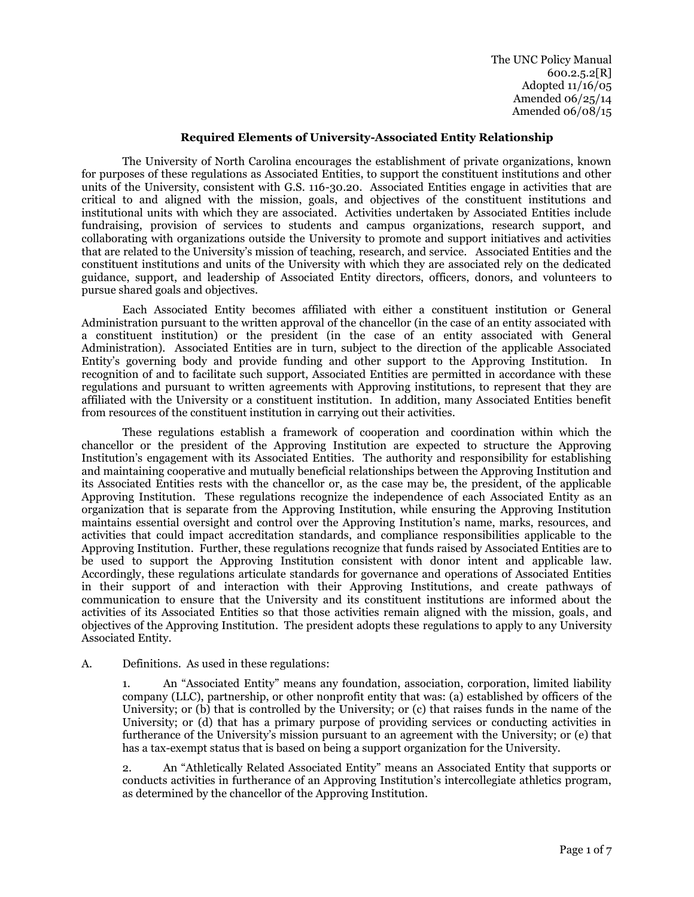The UNC Policy Manual  $600.2.5.2[R]$ Adopted 11/16/05 Amended 06/25/14 Amended 06/08/15

#### **Required Elements of University-Associated Entity Relationship**

The University of North Carolina encourages the establishment of private organizations, known for purposes of these regulations as Associated Entities, to support the constituent institutions and other units of the University, consistent with G.S. 116-30.20. Associated Entities engage in activities that are critical to and aligned with the mission, goals, and objectives of the constituent institutions and institutional units with which they are associated. Activities undertaken by Associated Entities include fundraising, provision of services to students and campus organizations, research support, and collaborating with organizations outside the University to promote and support initiatives and activities that are related to the University's mission of teaching, research, and service. Associated Entities and the constituent institutions and units of the University with which they are associated rely on the dedicated guidance, support, and leadership of Associated Entity directors, officers, donors, and volunteers to pursue shared goals and objectives.

Each Associated Entity becomes affiliated with either a constituent institution or General Administration pursuant to the written approval of the chancellor (in the case of an entity associated with a constituent institution) or the president (in the case of an entity associated with General Administration). Associated Entities are in turn, subject to the direction of the applicable Associated Entity's governing body and provide funding and other support to the Approving Institution. In recognition of and to facilitate such support, Associated Entities are permitted in accordance with these regulations and pursuant to written agreements with Approving institutions, to represent that they are affiliated with the University or a constituent institution. In addition, many Associated Entities benefit from resources of the constituent institution in carrying out their activities.

These regulations establish a framework of cooperation and coordination within which the chancellor or the president of the Approving Institution are expected to structure the Approving Institution's engagement with its Associated Entities. The authority and responsibility for establishing and maintaining cooperative and mutually beneficial relationships between the Approving Institution and its Associated Entities rests with the chancellor or, as the case may be, the president, of the applicable Approving Institution. These regulations recognize the independence of each Associated Entity as an organization that is separate from the Approving Institution, while ensuring the Approving Institution maintains essential oversight and control over the Approving Institution's name, marks, resources, and activities that could impact accreditation standards, and compliance responsibilities applicable to the Approving Institution. Further, these regulations recognize that funds raised by Associated Entities are to be used to support the Approving Institution consistent with donor intent and applicable law. Accordingly, these regulations articulate standards for governance and operations of Associated Entities in their support of and interaction with their Approving Institutions, and create pathways of communication to ensure that the University and its constituent institutions are informed about the activities of its Associated Entities so that those activities remain aligned with the mission, goals, and objectives of the Approving Institution. The president adopts these regulations to apply to any University Associated Entity.

# A. Definitions. As used in these regulations:

1. An "Associated Entity" means any foundation, association, corporation, limited liability company (LLC), partnership, or other nonprofit entity that was: (a) established by officers of the University; or (b) that is controlled by the University; or (c) that raises funds in the name of the University; or (d) that has a primary purpose of providing services or conducting activities in furtherance of the University's mission pursuant to an agreement with the University; or (e) that has a tax-exempt status that is based on being a support organization for the University.

2. An "Athletically Related Associated Entity" means an Associated Entity that supports or conducts activities in furtherance of an Approving Institution's intercollegiate athletics program, as determined by the chancellor of the Approving Institution.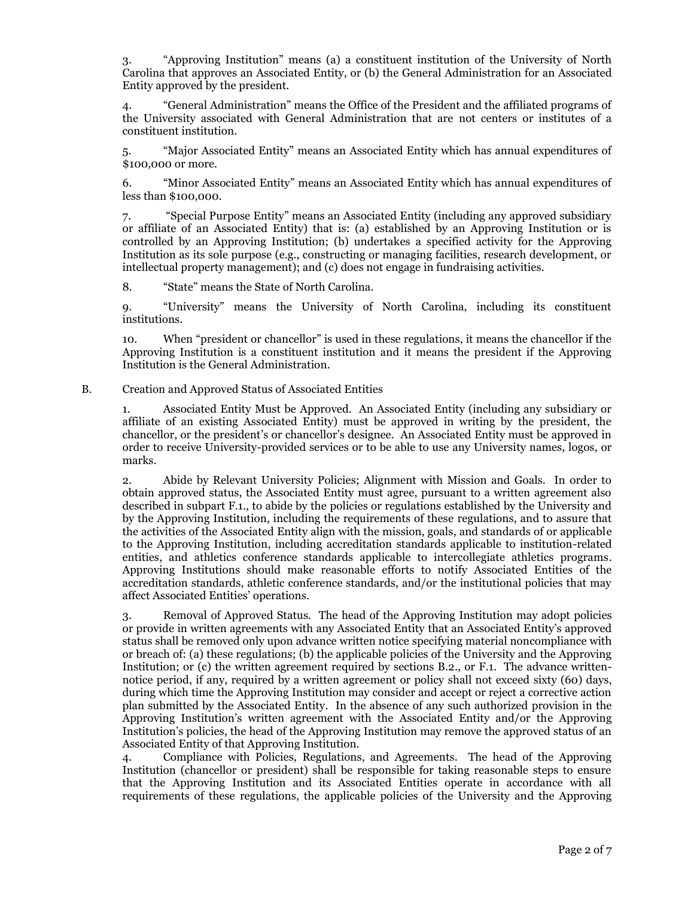3. "Approving Institution" means (a) a constituent institution of the University of North Carolina that approves an Associated Entity, or (b) the General Administration for an Associated Entity approved by the president.

4. "General Administration" means the Office of the President and the affiliated programs of the University associated with General Administration that are not centers or institutes of a constituent institution.

5. "Major Associated Entity" means an Associated Entity which has annual expenditures of \$100,000 or more.

6. "Minor Associated Entity" means an Associated Entity which has annual expenditures of less than \$100,000.

7. "Special Purpose Entity" means an Associated Entity (including any approved subsidiary or affiliate of an Associated Entity) that is: (a) established by an Approving Institution or is controlled by an Approving Institution; (b) undertakes a specified activity for the Approving Institution as its sole purpose (e.g., constructing or managing facilities, research development, or intellectual property management); and (c) does not engage in fundraising activities.

8. "State" means the State of North Carolina.

9. "University" means the University of North Carolina, including its constituent institutions.

10. When "president or chancellor" is used in these regulations, it means the chancellor if the Approving Institution is a constituent institution and it means the president if the Approving Institution is the General Administration.

#### B. Creation and Approved Status of Associated Entities

1. Associated Entity Must be Approved. An Associated Entity (including any subsidiary or affiliate of an existing Associated Entity) must be approved in writing by the president, the chancellor, or the president's or chancellor's designee. An Associated Entity must be approved in order to receive University-provided services or to be able to use any University names, logos, or marks.

2. Abide by Relevant University Policies; Alignment with Mission and Goals. In order to obtain approved status, the Associated Entity must agree, pursuant to a written agreement also described in subpart F.1., to abide by the policies or regulations established by the University and by the Approving Institution, including the requirements of these regulations, and to assure that the activities of the Associated Entity align with the mission, goals, and standards of or applicable to the Approving Institution, including accreditation standards applicable to institution-related entities, and athletics conference standards applicable to intercollegiate athletics programs. Approving Institutions should make reasonable efforts to notify Associated Entities of the accreditation standards, athletic conference standards, and/or the institutional policies that may affect Associated Entities' operations.

3. Removal of Approved Status. The head of the Approving Institution may adopt policies or provide in written agreements with any Associated Entity that an Associated Entity's approved status shall be removed only upon advance written notice specifying material noncompliance with or breach of: (a) these regulations; (b) the applicable policies of the University and the Approving Institution; or (c) the written agreement required by sections B.2., or F.1. The advance writtennotice period, if any, required by a written agreement or policy shall not exceed sixty (60) days, during which time the Approving Institution may consider and accept or reject a corrective action plan submitted by the Associated Entity. In the absence of any such authorized provision in the Approving Institution's written agreement with the Associated Entity and/or the Approving Institution's policies, the head of the Approving Institution may remove the approved status of an Associated Entity of that Approving Institution.

4. Compliance with Policies, Regulations, and Agreements. The head of the Approving Institution (chancellor or president) shall be responsible for taking reasonable steps to ensure that the Approving Institution and its Associated Entities operate in accordance with all requirements of these regulations, the applicable policies of the University and the Approving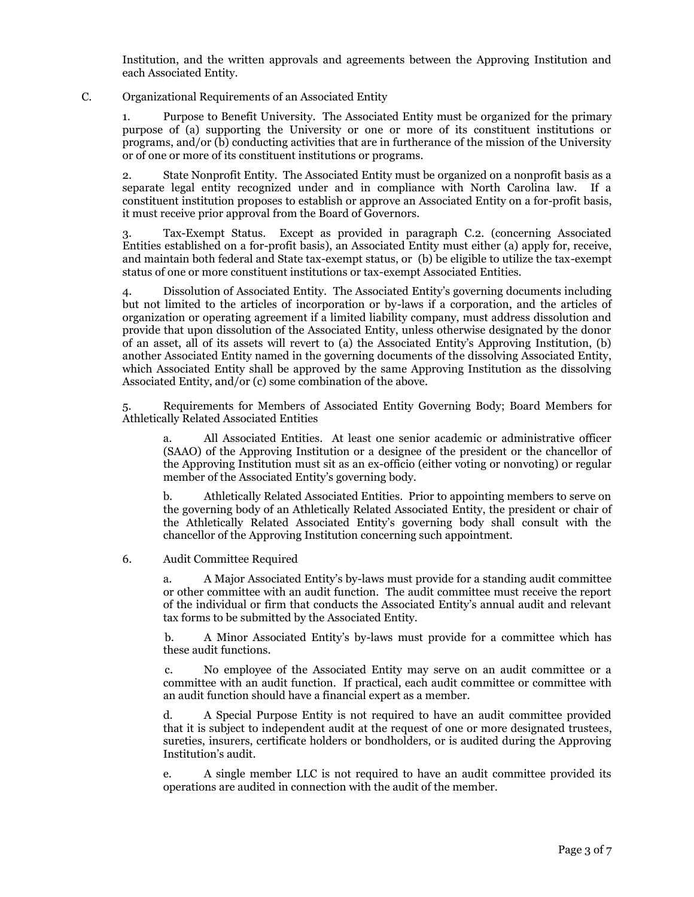Institution, and the written approvals and agreements between the Approving Institution and each Associated Entity.

#### C. Organizational Requirements of an Associated Entity

1. Purpose to Benefit University. The Associated Entity must be organized for the primary purpose of (a) supporting the University or one or more of its constituent institutions or programs, and/or (b) conducting activities that are in furtherance of the mission of the University or of one or more of its constituent institutions or programs.

2. State Nonprofit Entity. The Associated Entity must be organized on a nonprofit basis as a separate legal entity recognized under and in compliance with North Carolina law. If a constituent institution proposes to establish or approve an Associated Entity on a for-profit basis, it must receive prior approval from the Board of Governors.

3. Tax-Exempt Status. Except as provided in paragraph C.2. (concerning Associated Entities established on a for-profit basis), an Associated Entity must either (a) apply for, receive, and maintain both federal and State tax-exempt status, or (b) be eligible to utilize the tax-exempt status of one or more constituent institutions or tax-exempt Associated Entities.

4. Dissolution of Associated Entity. The Associated Entity's governing documents including but not limited to the articles of incorporation or by-laws if a corporation, and the articles of organization or operating agreement if a limited liability company, must address dissolution and provide that upon dissolution of the Associated Entity, unless otherwise designated by the donor of an asset, all of its assets will revert to (a) the Associated Entity's Approving Institution, (b) another Associated Entity named in the governing documents of the dissolving Associated Entity, which Associated Entity shall be approved by the same Approving Institution as the dissolving Associated Entity, and/or (c) some combination of the above.

5. Requirements for Members of Associated Entity Governing Body; Board Members for Athletically Related Associated Entities

a. All Associated Entities. At least one senior academic or administrative officer (SAAO) of the Approving Institution or a designee of the president or the chancellor of the Approving Institution must sit as an ex-officio (either voting or nonvoting) or regular member of the Associated Entity's governing body.

b. Athletically Related Associated Entities. Prior to appointing members to serve on the governing body of an Athletically Related Associated Entity, the president or chair of the Athletically Related Associated Entity's governing body shall consult with the chancellor of the Approving Institution concerning such appointment.

#### 6. Audit Committee Required

a. A Major Associated Entity's by-laws must provide for a standing audit committee or other committee with an audit function. The audit committee must receive the report of the individual or firm that conducts the Associated Entity's annual audit and relevant tax forms to be submitted by the Associated Entity.

b. A Minor Associated Entity's by-laws must provide for a committee which has these audit functions.

c. No employee of the Associated Entity may serve on an audit committee or a committee with an audit function. If practical, each audit committee or committee with an audit function should have a financial expert as a member.

d. A Special Purpose Entity is not required to have an audit committee provided that it is subject to independent audit at the request of one or more designated trustees, sureties, insurers, certificate holders or bondholders, or is audited during the Approving Institution's audit.

e. A single member LLC is not required to have an audit committee provided its operations are audited in connection with the audit of the member.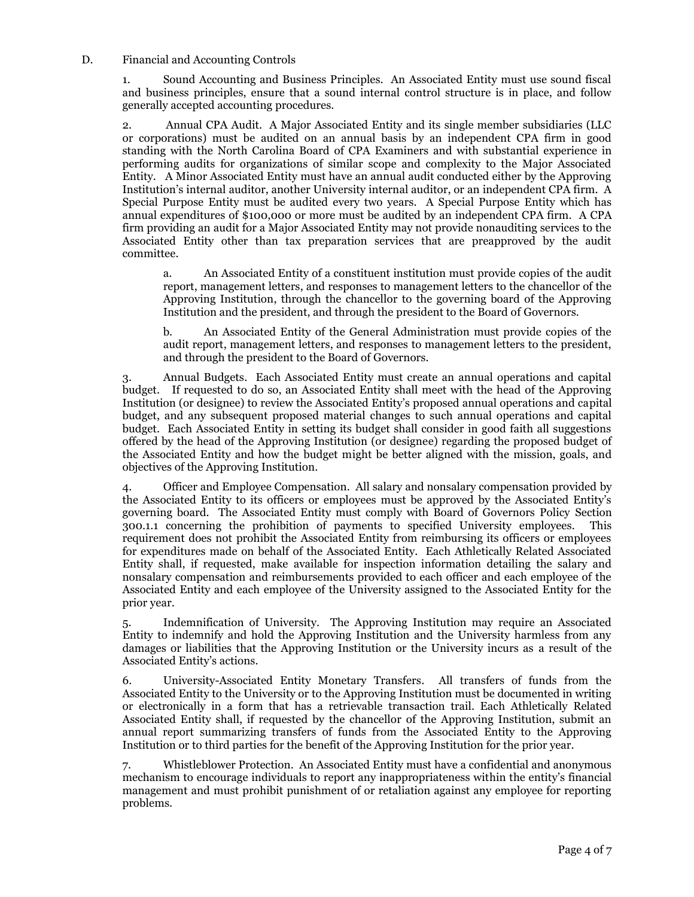#### D. Financial and Accounting Controls

1. Sound Accounting and Business Principles. An Associated Entity must use sound fiscal and business principles, ensure that a sound internal control structure is in place, and follow generally accepted accounting procedures.

2. Annual CPA Audit. A Major Associated Entity and its single member subsidiaries (LLC or corporations) must be audited on an annual basis by an independent CPA firm in good standing with the North Carolina Board of CPA Examiners and with substantial experience in performing audits for organizations of similar scope and complexity to the Major Associated Entity. A Minor Associated Entity must have an annual audit conducted either by the Approving Institution's internal auditor, another University internal auditor, or an independent CPA firm. A Special Purpose Entity must be audited every two years. A Special Purpose Entity which has annual expenditures of \$100,000 or more must be audited by an independent CPA firm. A CPA firm providing an audit for a Major Associated Entity may not provide nonauditing services to the Associated Entity other than tax preparation services that are preapproved by the audit committee.

a. An Associated Entity of a constituent institution must provide copies of the audit report, management letters, and responses to management letters to the chancellor of the Approving Institution, through the chancellor to the governing board of the Approving Institution and the president, and through the president to the Board of Governors.

b. An Associated Entity of the General Administration must provide copies of the audit report, management letters, and responses to management letters to the president, and through the president to the Board of Governors.

3. Annual Budgets. Each Associated Entity must create an annual operations and capital budget. If requested to do so, an Associated Entity shall meet with the head of the Approving Institution (or designee) to review the Associated Entity's proposed annual operations and capital budget, and any subsequent proposed material changes to such annual operations and capital budget. Each Associated Entity in setting its budget shall consider in good faith all suggestions offered by the head of the Approving Institution (or designee) regarding the proposed budget of the Associated Entity and how the budget might be better aligned with the mission, goals, and objectives of the Approving Institution.

4. Officer and Employee Compensation. All salary and nonsalary compensation provided by the Associated Entity to its officers or employees must be approved by the Associated Entity's governing board. The Associated Entity must comply with Board of Governors Policy Section 300.1.1 concerning the prohibition of payments to specified University employees. This requirement does not prohibit the Associated Entity from reimbursing its officers or employees for expenditures made on behalf of the Associated Entity. Each Athletically Related Associated Entity shall, if requested, make available for inspection information detailing the salary and nonsalary compensation and reimbursements provided to each officer and each employee of the Associated Entity and each employee of the University assigned to the Associated Entity for the prior year.

5. Indemnification of University. The Approving Institution may require an Associated Entity to indemnify and hold the Approving Institution and the University harmless from any damages or liabilities that the Approving Institution or the University incurs as a result of the Associated Entity's actions.

6. University-Associated Entity Monetary Transfers. All transfers of funds from the Associated Entity to the University or to the Approving Institution must be documented in writing or electronically in a form that has a retrievable transaction trail. Each Athletically Related Associated Entity shall, if requested by the chancellor of the Approving Institution, submit an annual report summarizing transfers of funds from the Associated Entity to the Approving Institution or to third parties for the benefit of the Approving Institution for the prior year.

7. Whistleblower Protection. An Associated Entity must have a confidential and anonymous mechanism to encourage individuals to report any inappropriateness within the entity's financial management and must prohibit punishment of or retaliation against any employee for reporting problems.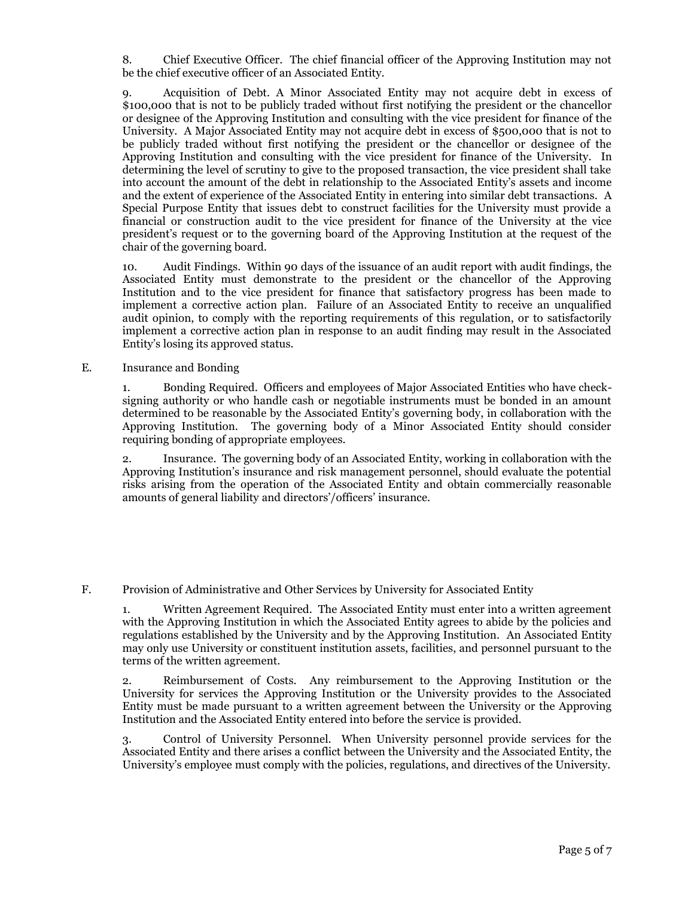8. Chief Executive Officer. The chief financial officer of the Approving Institution may not be the chief executive officer of an Associated Entity.

9. Acquisition of Debt. A Minor Associated Entity may not acquire debt in excess of \$100,000 that is not to be publicly traded without first notifying the president or the chancellor or designee of the Approving Institution and consulting with the vice president for finance of the University. A Major Associated Entity may not acquire debt in excess of \$500,000 that is not to be publicly traded without first notifying the president or the chancellor or designee of the Approving Institution and consulting with the vice president for finance of the University. In determining the level of scrutiny to give to the proposed transaction, the vice president shall take into account the amount of the debt in relationship to the Associated Entity's assets and income and the extent of experience of the Associated Entity in entering into similar debt transactions. A Special Purpose Entity that issues debt to construct facilities for the University must provide a financial or construction audit to the vice president for finance of the University at the vice president's request or to the governing board of the Approving Institution at the request of the chair of the governing board.

10. Audit Findings. Within 90 days of the issuance of an audit report with audit findings, the Associated Entity must demonstrate to the president or the chancellor of the Approving Institution and to the vice president for finance that satisfactory progress has been made to implement a corrective action plan. Failure of an Associated Entity to receive an unqualified audit opinion, to comply with the reporting requirements of this regulation, or to satisfactorily implement a corrective action plan in response to an audit finding may result in the Associated Entity's losing its approved status.

E. Insurance and Bonding

1. Bonding Required. Officers and employees of Major Associated Entities who have checksigning authority or who handle cash or negotiable instruments must be bonded in an amount determined to be reasonable by the Associated Entity's governing body, in collaboration with the Approving Institution. The governing body of a Minor Associated Entity should consider requiring bonding of appropriate employees.

2. Insurance. The governing body of an Associated Entity, working in collaboration with the Approving Institution's insurance and risk management personnel, should evaluate the potential risks arising from the operation of the Associated Entity and obtain commercially reasonable amounts of general liability and directors'/officers' insurance.

F. Provision of Administrative and Other Services by University for Associated Entity

1. Written Agreement Required. The Associated Entity must enter into a written agreement with the Approving Institution in which the Associated Entity agrees to abide by the policies and regulations established by the University and by the Approving Institution. An Associated Entity may only use University or constituent institution assets, facilities, and personnel pursuant to the terms of the written agreement.

2. Reimbursement of Costs. Any reimbursement to the Approving Institution or the University for services the Approving Institution or the University provides to the Associated Entity must be made pursuant to a written agreement between the University or the Approving Institution and the Associated Entity entered into before the service is provided.

3. Control of University Personnel. When University personnel provide services for the Associated Entity and there arises a conflict between the University and the Associated Entity, the University's employee must comply with the policies, regulations, and directives of the University.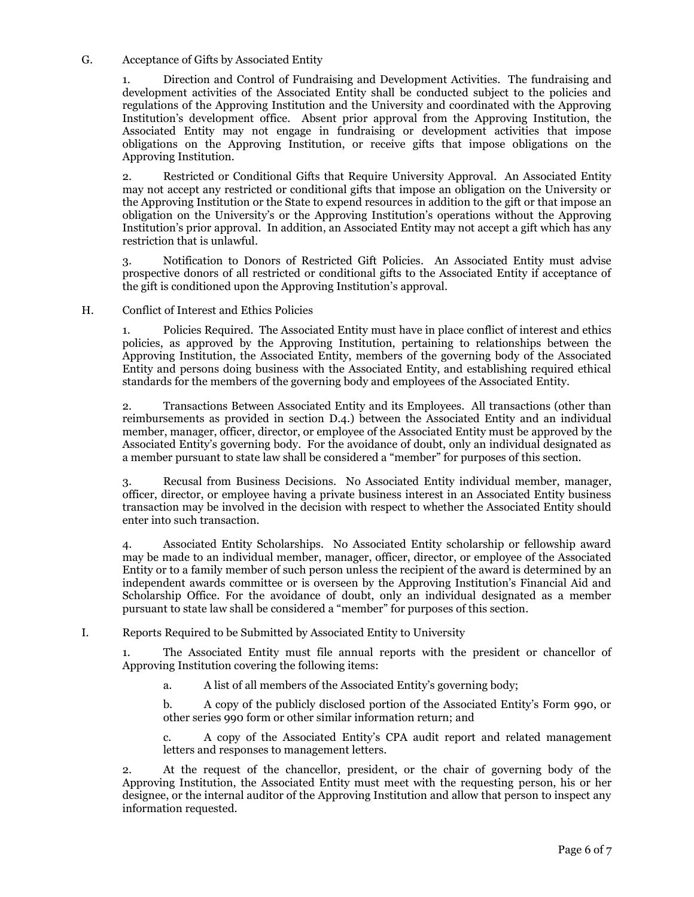#### G. Acceptance of Gifts by Associated Entity

1. Direction and Control of Fundraising and Development Activities. The fundraising and development activities of the Associated Entity shall be conducted subject to the policies and regulations of the Approving Institution and the University and coordinated with the Approving Institution's development office. Absent prior approval from the Approving Institution, the Associated Entity may not engage in fundraising or development activities that impose obligations on the Approving Institution, or receive gifts that impose obligations on the Approving Institution.

2. Restricted or Conditional Gifts that Require University Approval. An Associated Entity may not accept any restricted or conditional gifts that impose an obligation on the University or the Approving Institution or the State to expend resources in addition to the gift or that impose an obligation on the University's or the Approving Institution's operations without the Approving Institution's prior approval. In addition, an Associated Entity may not accept a gift which has any restriction that is unlawful.

3. Notification to Donors of Restricted Gift Policies. An Associated Entity must advise prospective donors of all restricted or conditional gifts to the Associated Entity if acceptance of the gift is conditioned upon the Approving Institution's approval.

#### H. Conflict of Interest and Ethics Policies

1. Policies Required. The Associated Entity must have in place conflict of interest and ethics policies, as approved by the Approving Institution, pertaining to relationships between the Approving Institution, the Associated Entity, members of the governing body of the Associated Entity and persons doing business with the Associated Entity, and establishing required ethical standards for the members of the governing body and employees of the Associated Entity.

2. Transactions Between Associated Entity and its Employees. All transactions (other than reimbursements as provided in section D.4.) between the Associated Entity and an individual member, manager, officer, director, or employee of the Associated Entity must be approved by the Associated Entity's governing body. For the avoidance of doubt, only an individual designated as a member pursuant to state law shall be considered a "member" for purposes of this section.

3. Recusal from Business Decisions. No Associated Entity individual member, manager, officer, director, or employee having a private business interest in an Associated Entity business transaction may be involved in the decision with respect to whether the Associated Entity should enter into such transaction.

4. Associated Entity Scholarships. No Associated Entity scholarship or fellowship award may be made to an individual member, manager, officer, director, or employee of the Associated Entity or to a family member of such person unless the recipient of the award is determined by an independent awards committee or is overseen by the Approving Institution's Financial Aid and Scholarship Office. For the avoidance of doubt, only an individual designated as a member pursuant to state law shall be considered a "member" for purposes of this section.

# I. Reports Required to be Submitted by Associated Entity to University

1. The Associated Entity must file annual reports with the president or chancellor of Approving Institution covering the following items:

a. A list of all members of the Associated Entity's governing body;

b. A copy of the publicly disclosed portion of the Associated Entity's Form 990, or other series 990 form or other similar information return; and

c. A copy of the Associated Entity's CPA audit report and related management letters and responses to management letters.

2. At the request of the chancellor, president, or the chair of governing body of the Approving Institution, the Associated Entity must meet with the requesting person, his or her designee, or the internal auditor of the Approving Institution and allow that person to inspect any information requested.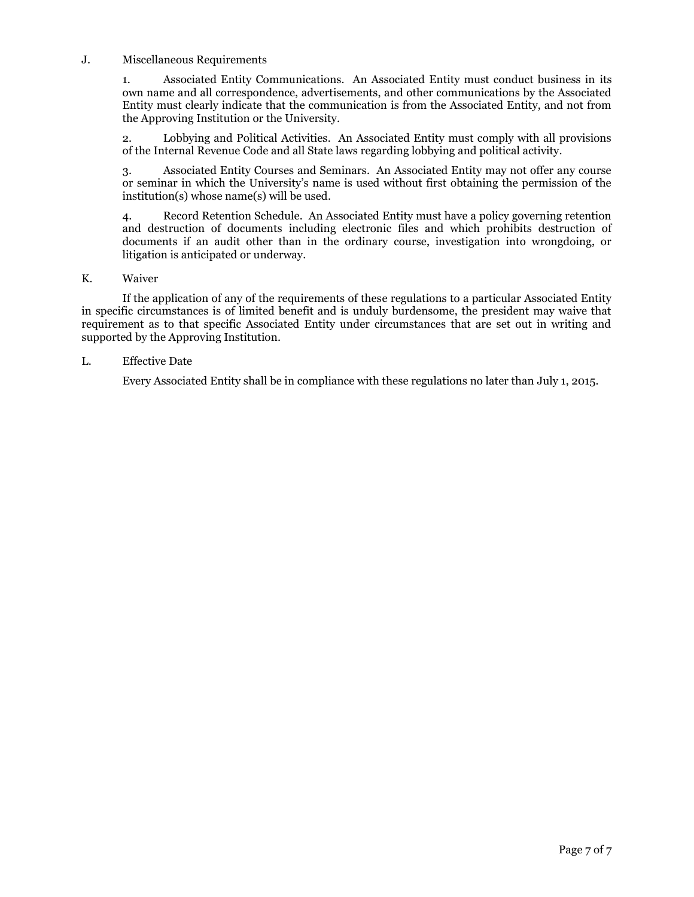#### J. Miscellaneous Requirements

1. Associated Entity Communications. An Associated Entity must conduct business in its own name and all correspondence, advertisements, and other communications by the Associated Entity must clearly indicate that the communication is from the Associated Entity, and not from the Approving Institution or the University.

2. Lobbying and Political Activities. An Associated Entity must comply with all provisions of the Internal Revenue Code and all State laws regarding lobbying and political activity.

3. Associated Entity Courses and Seminars. An Associated Entity may not offer any course or seminar in which the University's name is used without first obtaining the permission of the institution(s) whose name(s) will be used.

4. Record Retention Schedule. An Associated Entity must have a policy governing retention and destruction of documents including electronic files and which prohibits destruction of documents if an audit other than in the ordinary course, investigation into wrongdoing, or litigation is anticipated or underway.

#### K. Waiver

If the application of any of the requirements of these regulations to a particular Associated Entity in specific circumstances is of limited benefit and is unduly burdensome, the president may waive that requirement as to that specific Associated Entity under circumstances that are set out in writing and supported by the Approving Institution.

# L. Effective Date

Every Associated Entity shall be in compliance with these regulations no later than July 1, 2015.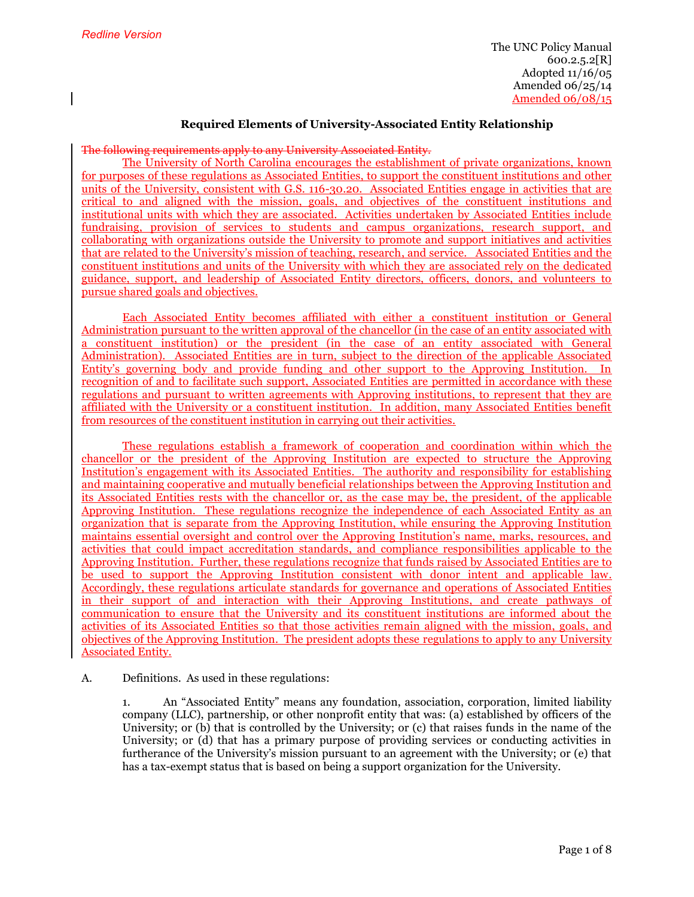# **Required Elements of University-Associated Entity Relationship**

#### The following requirements apply to any University Associated Entity.

The University of North Carolina encourages the establishment of private organizations, known for purposes of these regulations as Associated Entities, to support the constituent institutions and other units of the University, consistent with G.S. 116-30.20. Associated Entities engage in activities that are critical to and aligned with the mission, goals, and objectives of the constituent institutions and institutional units with which they are associated. Activities undertaken by Associated Entities include fundraising, provision of services to students and campus organizations, research support, and collaborating with organizations outside the University to promote and support initiatives and activities that are related to the University's mission of teaching, research, and service. Associated Entities and the constituent institutions and units of the University with which they are associated rely on the dedicated guidance, support, and leadership of Associated Entity directors, officers, donors, and volunteers to pursue shared goals and objectives.

Each Associated Entity becomes affiliated with either a constituent institution or General Administration pursuant to the written approval of the chancellor (in the case of an entity associated with a constituent institution) or the president (in the case of an entity associated with General Administration). Associated Entities are in turn, subject to the direction of the applicable Associated Entity's governing body and provide funding and other support to the Approving Institution. In recognition of and to facilitate such support, Associated Entities are permitted in accordance with these regulations and pursuant to written agreements with Approving institutions, to represent that they are affiliated with the University or a constituent institution. In addition, many Associated Entities benefit from resources of the constituent institution in carrying out their activities.

These regulations establish a framework of cooperation and coordination within which the chancellor or the president of the Approving Institution are expected to structure the Approving Institution's engagement with its Associated Entities. The authority and responsibility for establishing and maintaining cooperative and mutually beneficial relationships between the Approving Institution and its Associated Entities rests with the chancellor or, as the case may be, the president, of the applicable Approving Institution. These regulations recognize the independence of each Associated Entity as an organization that is separate from the Approving Institution, while ensuring the Approving Institution maintains essential oversight and control over the Approving Institution's name, marks, resources, and activities that could impact accreditation standards, and compliance responsibilities applicable to the Approving Institution. Further, these regulations recognize that funds raised by Associated Entities are to be used to support the Approving Institution consistent with donor intent and applicable law. Accordingly, these regulations articulate standards for governance and operations of Associated Entities in their support of and interaction with their Approving Institutions, and create pathways of communication to ensure that the University and its constituent institutions are informed about the activities of its Associated Entities so that those activities remain aligned with the mission, goals, and objectives of the Approving Institution. The president adopts these regulations to apply to any University Associated Entity.

#### A. Definitions. As used in these regulations:

1. An "Associated Entity" means any foundation, association, corporation, limited liability company (LLC), partnership, or other nonprofit entity that was: (a) established by officers of the University; or (b) that is controlled by the University; or (c) that raises funds in the name of the University; or (d) that has a primary purpose of providing services or conducting activities in furtherance of the University's mission pursuant to an agreement with the University; or (e) that has a tax-exempt status that is based on being a support organization for the University.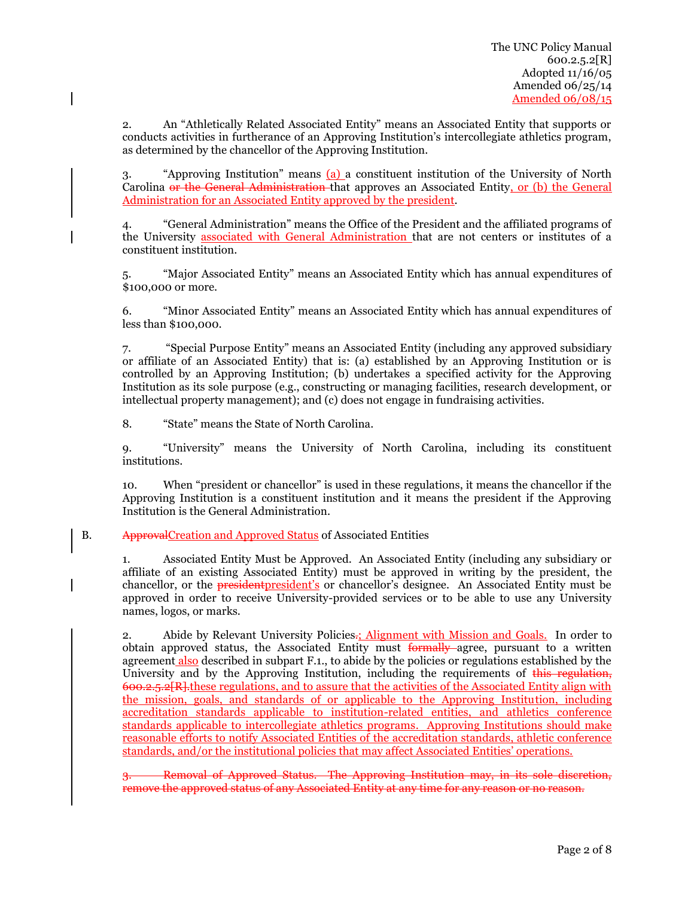2. An "Athletically Related Associated Entity" means an Associated Entity that supports or conducts activities in furtherance of an Approving Institution's intercollegiate athletics program, as determined by the chancellor of the Approving Institution.

3. "Approving Institution" means (a) a constituent institution of the University of North Carolina or the General Administration that approves an Associated Entity, or (b) the General Administration for an Associated Entity approved by the president.

4. "General Administration" means the Office of the President and the affiliated programs of the University associated with General Administration that are not centers or institutes of a constituent institution.

5. "Major Associated Entity" means an Associated Entity which has annual expenditures of \$100,000 or more.

6. "Minor Associated Entity" means an Associated Entity which has annual expenditures of less than \$100,000.

7. "Special Purpose Entity" means an Associated Entity (including any approved subsidiary or affiliate of an Associated Entity) that is: (a) established by an Approving Institution or is controlled by an Approving Institution; (b) undertakes a specified activity for the Approving Institution as its sole purpose (e.g., constructing or managing facilities, research development, or intellectual property management); and (c) does not engage in fundraising activities.

8. "State" means the State of North Carolina.

9. "University" means the University of North Carolina, including its constituent institutions.

10. When "president or chancellor" is used in these regulations, it means the chancellor if the Approving Institution is a constituent institution and it means the president if the Approving Institution is the General Administration.

#### B. ApprovalCreation and Approved Status of Associated Entities

1. Associated Entity Must be Approved. An Associated Entity (including any subsidiary or affiliate of an existing Associated Entity) must be approved in writing by the president, the chancellor, or the **president** president's or chancellor's designee. An Associated Entity must be approved in order to receive University-provided services or to be able to use any University names, logos, or marks.

2. Abide by Relevant University Policies.; Alignment with Mission and Goals. In order to obtain approved status, the Associated Entity must formally agree, pursuant to a written agreement also described in subpart F.1., to abide by the policies or regulations established by the University and by the Approving Institution, including the requirements of this regulation, 600.2.5.2[R].these regulations, and to assure that the activities of the Associated Entity align with the mission, goals, and standards of or applicable to the Approving Institution, including accreditation standards applicable to institution-related entities, and athletics conference standards applicable to intercollegiate athletics programs. Approving Institutions should make reasonable efforts to notify Associated Entities of the accreditation standards, athletic conference standards, and/or the institutional policies that may affect Associated Entities' operations.

3. Removal of Approved Status. The Approving Institution may, in its sole discretion, remove the approved status of any Associated Entity at any time for any reason or no reason.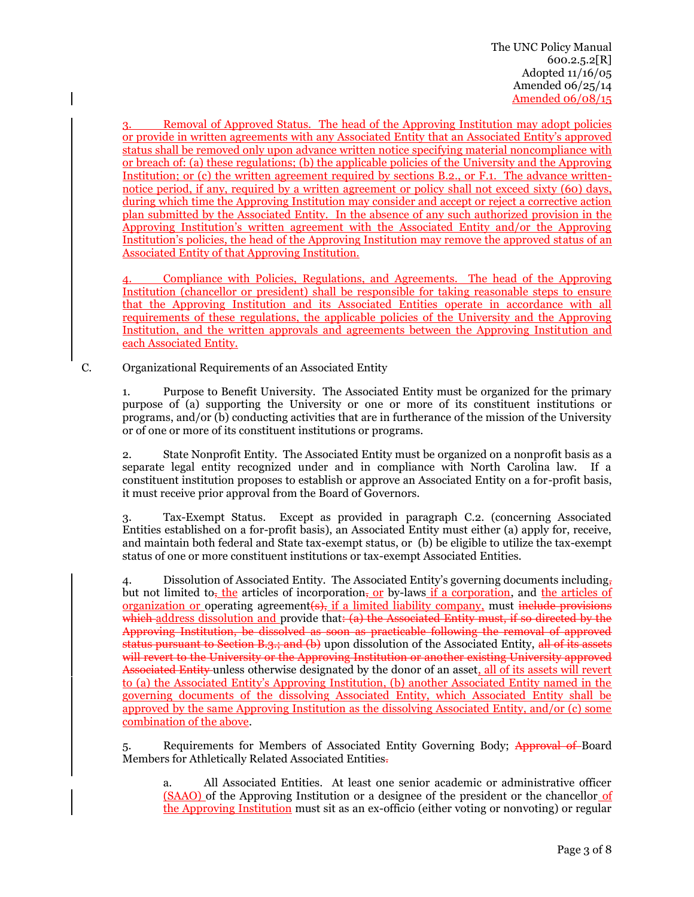3. Removal of Approved Status. The head of the Approving Institution may adopt policies or provide in written agreements with any Associated Entity that an Associated Entity's approved status shall be removed only upon advance written notice specifying material noncompliance with or breach of: (a) these regulations; (b) the applicable policies of the University and the Approving Institution; or (c) the written agreement required by sections B.2., or F.1. The advance writtennotice period, if any, required by a written agreement or policy shall not exceed sixty (60) days, during which time the Approving Institution may consider and accept or reject a corrective action plan submitted by the Associated Entity. In the absence of any such authorized provision in the Approving Institution's written agreement with the Associated Entity and/or the Approving Institution's policies, the head of the Approving Institution may remove the approved status of an Associated Entity of that Approving Institution.

Compliance with Policies, Regulations, and Agreements. The head of the Approving Institution (chancellor or president) shall be responsible for taking reasonable steps to ensure that the Approving Institution and its Associated Entities operate in accordance with all requirements of these regulations, the applicable policies of the University and the Approving Institution, and the written approvals and agreements between the Approving Institution and each Associated Entity.

C. Organizational Requirements of an Associated Entity

1. Purpose to Benefit University. The Associated Entity must be organized for the primary purpose of (a) supporting the University or one or more of its constituent institutions or programs, and/or (b) conducting activities that are in furtherance of the mission of the University or of one or more of its constituent institutions or programs.

2. State Nonprofit Entity. The Associated Entity must be organized on a nonprofit basis as a separate legal entity recognized under and in compliance with North Carolina law. If a constituent institution proposes to establish or approve an Associated Entity on a for-profit basis, it must receive prior approval from the Board of Governors.

3. Tax-Exempt Status. Except as provided in paragraph C.2. (concerning Associated Entities established on a for-profit basis), an Associated Entity must either (a) apply for, receive, and maintain both federal and State tax-exempt status, or (b) be eligible to utilize the tax-exempt status of one or more constituent institutions or tax-exempt Associated Entities.

4. Dissolution of Associated Entity. The Associated Entity's governing documents including, but not limited to, the articles of incorporation, or by-laws if a corporation, and the articles of organization or operating agreement $(\Theta)$ , if a limited liability company, must include provisions which address dissolution and provide that: (a) the Associated Entity must, if so directed by the Approving Institution, be dissolved as soon as practicable following the removal of approved status pursuant to Section B.3.; and  $(b)$  upon dissolution of the Associated Entity, all of its assets will revert to the University or the Approving Institution or another existing University approved Associated Entity unless otherwise designated by the donor of an asset, all of its assets will revert to (a) the Associated Entity's Approving Institution, (b) another Associated Entity named in the governing documents of the dissolving Associated Entity, which Associated Entity shall be approved by the same Approving Institution as the dissolving Associated Entity, and/or (c) some combination of the above.

5. Requirements for Members of Associated Entity Governing Body; Approval of Board Members for Athletically Related Associated Entities.

a. All Associated Entities. At least one senior academic or administrative officer (SAAO) of the Approving Institution or a designee of the president or the chancellor of the Approving Institution must sit as an ex-officio (either voting or nonvoting) or regular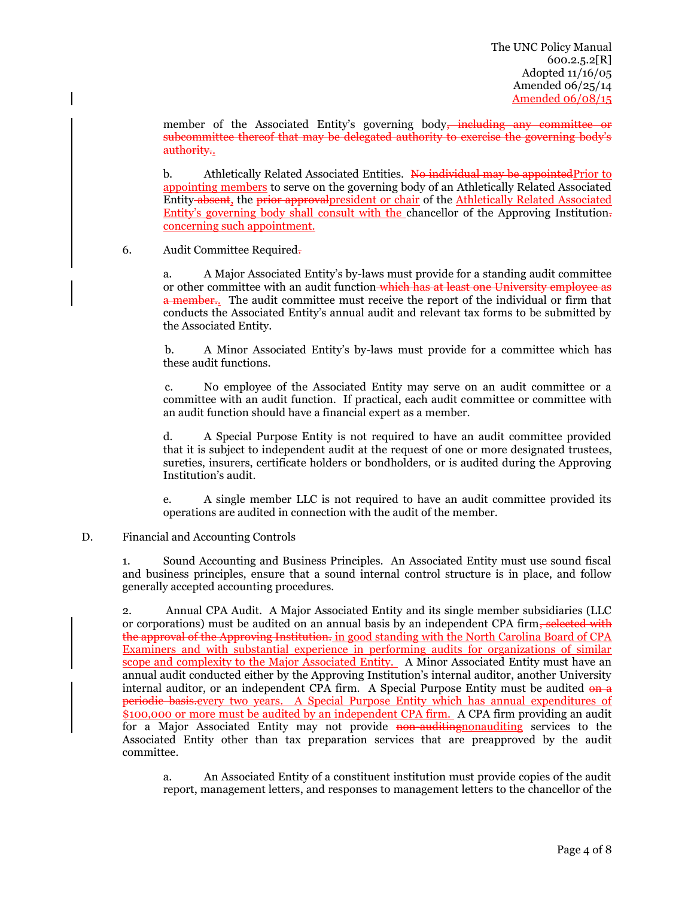member of the Associated Entity's governing body<del>, including any committee or</del> subcommittee thereof that may be delegated authority to exercise the governing body's authority.

b. Athletically Related Associated Entities. No individual may be appointed Prior to appointing members to serve on the governing body of an Athletically Related Associated Entity-absent, the prior approval president or chair of the Athletically Related Associated Entity's governing body shall consult with the chancellor of the Approving Institution. concerning such appointment.

# 6. Audit Committee Required.

a. A Major Associated Entity's by-laws must provide for a standing audit committee or other committee with an audit function which has at least one University employee as a member.. The audit committee must receive the report of the individual or firm that conducts the Associated Entity's annual audit and relevant tax forms to be submitted by the Associated Entity.

b. A Minor Associated Entity's by-laws must provide for a committee which has these audit functions.

c. No employee of the Associated Entity may serve on an audit committee or a committee with an audit function. If practical, each audit committee or committee with an audit function should have a financial expert as a member.

d. A Special Purpose Entity is not required to have an audit committee provided that it is subject to independent audit at the request of one or more designated trustees, sureties, insurers, certificate holders or bondholders, or is audited during the Approving Institution's audit.

e. A single member LLC is not required to have an audit committee provided its operations are audited in connection with the audit of the member.

#### D. Financial and Accounting Controls

1. Sound Accounting and Business Principles. An Associated Entity must use sound fiscal and business principles, ensure that a sound internal control structure is in place, and follow generally accepted accounting procedures.

2. Annual CPA Audit. A Major Associated Entity and its single member subsidiaries (LLC or corporations) must be audited on an annual basis by an independent CPA firm<del>, selected with</del> the approval of the Approving Institution. in good standing with the North Carolina Board of CPA Examiners and with substantial experience in performing audits for organizations of similar scope and complexity to the Major Associated Entity. A Minor Associated Entity must have an annual audit conducted either by the Approving Institution's internal auditor, another University internal auditor, or an independent CPA firm. A Special Purpose Entity must be audited on a periodic basis.every two years. A Special Purpose Entity which has annual expenditures of \$100,000 or more must be audited by an independent CPA firm. A CPA firm providing an audit for a Major Associated Entity may not provide non-auditing nonauditing services to the Associated Entity other than tax preparation services that are preapproved by the audit committee.

a. An Associated Entity of a constituent institution must provide copies of the audit report, management letters, and responses to management letters to the chancellor of the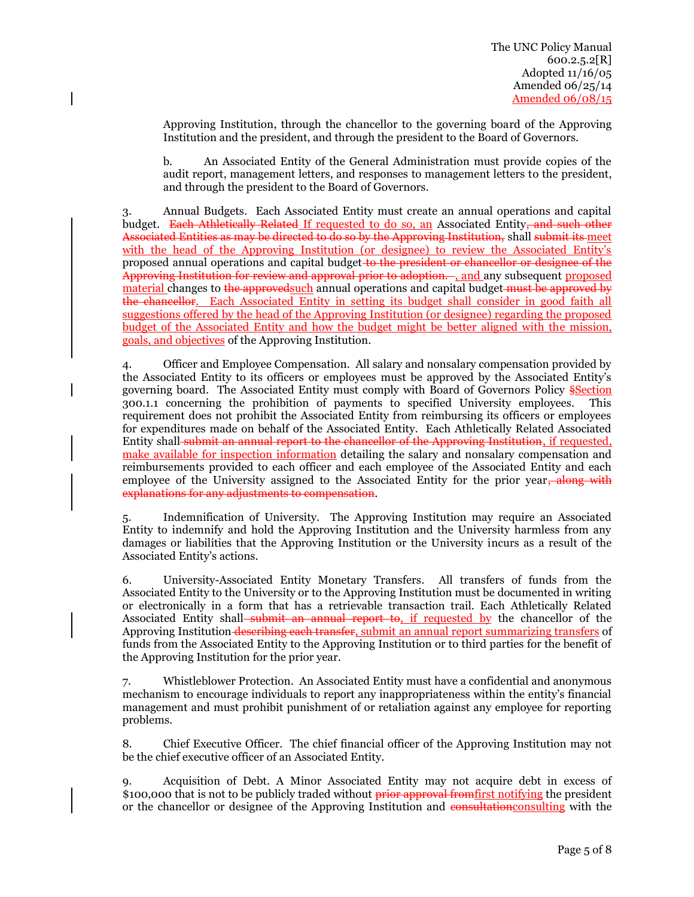Approving Institution, through the chancellor to the governing board of the Approving Institution and the president, and through the president to the Board of Governors.

b. An Associated Entity of the General Administration must provide copies of the audit report, management letters, and responses to management letters to the president, and through the president to the Board of Governors.

3. Annual Budgets. Each Associated Entity must create an annual operations and capital budget. Each Athletically Related If requested to do so, an Associated Entity, and such other Associated Entities as may be directed to do so by the Approving Institution, shall submit its meet with the head of the Approving Institution (or designee) to review the Associated Entity's proposed annual operations and capital budget to the president or chancellor or designee of the Approving Institution for review and approval prior to adoption. , and any subsequent proposed material changes to the approved such annual operations and capital budget must be approved by the chancellor. Each Associated Entity in setting its budget shall consider in good faith all suggestions offered by the head of the Approving Institution (or designee) regarding the proposed budget of the Associated Entity and how the budget might be better aligned with the mission, goals, and objectives of the Approving Institution.

4. Officer and Employee Compensation. All salary and nonsalary compensation provided by the Associated Entity to its officers or employees must be approved by the Associated Entity's governing board. The Associated Entity must comply with Board of Governors Policy Section 300.1.1 concerning the prohibition of payments to specified University employees. This requirement does not prohibit the Associated Entity from reimbursing its officers or employees for expenditures made on behalf of the Associated Entity. Each Athletically Related Associated Entity shall submit an annual report to the chancellor of the Approving Institution, if requested, make available for inspection information detailing the salary and nonsalary compensation and reimbursements provided to each officer and each employee of the Associated Entity and each employee of the University assigned to the Associated Entity for the prior year, along with explanations for any adjustments to compensation.

5. Indemnification of University. The Approving Institution may require an Associated Entity to indemnify and hold the Approving Institution and the University harmless from any damages or liabilities that the Approving Institution or the University incurs as a result of the Associated Entity's actions.

6. University-Associated Entity Monetary Transfers. All transfers of funds from the Associated Entity to the University or to the Approving Institution must be documented in writing or electronically in a form that has a retrievable transaction trail. Each Athletically Related Associated Entity shall<del>-submit an annual report to, if requested by</del> the chancellor of the Approving Institution describing each transfer, submit an annual report summarizing transfers of funds from the Associated Entity to the Approving Institution or to third parties for the benefit of the Approving Institution for the prior year.

7. Whistleblower Protection. An Associated Entity must have a confidential and anonymous mechanism to encourage individuals to report any inappropriateness within the entity's financial management and must prohibit punishment of or retaliation against any employee for reporting problems.

8. Chief Executive Officer. The chief financial officer of the Approving Institution may not be the chief executive officer of an Associated Entity.

9. Acquisition of Debt. A Minor Associated Entity may not acquire debt in excess of \$100,000 that is not to be publicly traded without prior approval from first notifying the president or the chancellor or designee of the Approving Institution and consultation consulting with the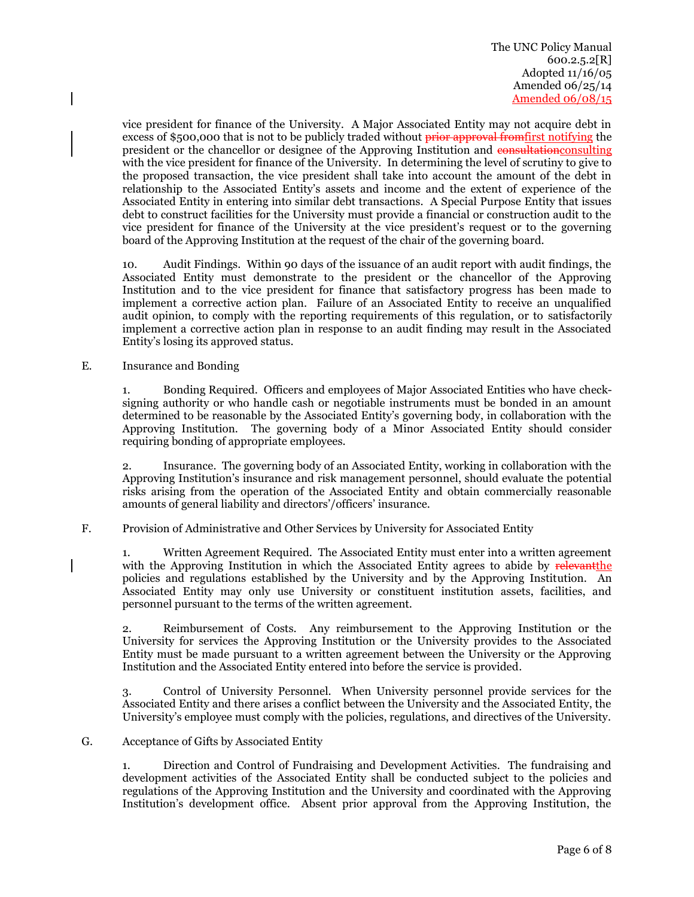vice president for finance of the University. A Major Associated Entity may not acquire debt in excess of \$500,000 that is not to be publicly traded without prior approval from first notifying the president or the chancellor or designee of the Approving Institution and consultation consulting with the vice president for finance of the University. In determining the level of scrutiny to give to the proposed transaction, the vice president shall take into account the amount of the debt in relationship to the Associated Entity's assets and income and the extent of experience of the Associated Entity in entering into similar debt transactions. A Special Purpose Entity that issues debt to construct facilities for the University must provide a financial or construction audit to the vice president for finance of the University at the vice president's request or to the governing board of the Approving Institution at the request of the chair of the governing board.

10. Audit Findings. Within 90 days of the issuance of an audit report with audit findings, the Associated Entity must demonstrate to the president or the chancellor of the Approving Institution and to the vice president for finance that satisfactory progress has been made to implement a corrective action plan. Failure of an Associated Entity to receive an unqualified audit opinion, to comply with the reporting requirements of this regulation, or to satisfactorily implement a corrective action plan in response to an audit finding may result in the Associated Entity's losing its approved status.

E. Insurance and Bonding

1. Bonding Required. Officers and employees of Major Associated Entities who have checksigning authority or who handle cash or negotiable instruments must be bonded in an amount determined to be reasonable by the Associated Entity's governing body, in collaboration with the Approving Institution. The governing body of a Minor Associated Entity should consider requiring bonding of appropriate employees.

2. Insurance. The governing body of an Associated Entity, working in collaboration with the Approving Institution's insurance and risk management personnel, should evaluate the potential risks arising from the operation of the Associated Entity and obtain commercially reasonable amounts of general liability and directors'/officers' insurance.

F. Provision of Administrative and Other Services by University for Associated Entity

1. Written Agreement Required. The Associated Entity must enter into a written agreement with the Approving Institution in which the Associated Entity agrees to abide by relevant the policies and regulations established by the University and by the Approving Institution. An Associated Entity may only use University or constituent institution assets, facilities, and personnel pursuant to the terms of the written agreement.

2. Reimbursement of Costs. Any reimbursement to the Approving Institution or the University for services the Approving Institution or the University provides to the Associated Entity must be made pursuant to a written agreement between the University or the Approving Institution and the Associated Entity entered into before the service is provided.

3. Control of University Personnel. When University personnel provide services for the Associated Entity and there arises a conflict between the University and the Associated Entity, the University's employee must comply with the policies, regulations, and directives of the University.

G. Acceptance of Gifts by Associated Entity

1. Direction and Control of Fundraising and Development Activities. The fundraising and development activities of the Associated Entity shall be conducted subject to the policies and regulations of the Approving Institution and the University and coordinated with the Approving Institution's development office. Absent prior approval from the Approving Institution, the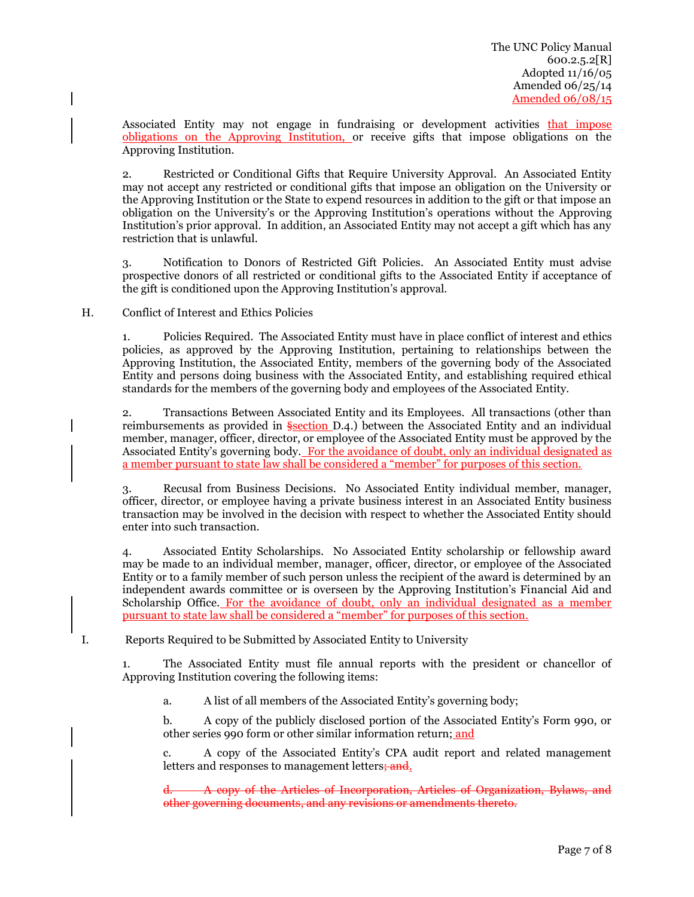Associated Entity may not engage in fundraising or development activities that impose obligations on the Approving Institution, or receive gifts that impose obligations on the Approving Institution.

2. Restricted or Conditional Gifts that Require University Approval. An Associated Entity may not accept any restricted or conditional gifts that impose an obligation on the University or the Approving Institution or the State to expend resources in addition to the gift or that impose an obligation on the University's or the Approving Institution's operations without the Approving Institution's prior approval. In addition, an Associated Entity may not accept a gift which has any restriction that is unlawful.

3. Notification to Donors of Restricted Gift Policies. An Associated Entity must advise prospective donors of all restricted or conditional gifts to the Associated Entity if acceptance of the gift is conditioned upon the Approving Institution's approval.

H. Conflict of Interest and Ethics Policies

1. Policies Required. The Associated Entity must have in place conflict of interest and ethics policies, as approved by the Approving Institution, pertaining to relationships between the Approving Institution, the Associated Entity, members of the governing body of the Associated Entity and persons doing business with the Associated Entity, and establishing required ethical standards for the members of the governing body and employees of the Associated Entity.

2. Transactions Between Associated Entity and its Employees. All transactions (other than reimbursements as provided in §section D.4.) between the Associated Entity and an individual member, manager, officer, director, or employee of the Associated Entity must be approved by the Associated Entity's governing body. For the avoidance of doubt, only an individual designated as a member pursuant to state law shall be considered a "member" for purposes of this section.

3. Recusal from Business Decisions. No Associated Entity individual member, manager, officer, director, or employee having a private business interest in an Associated Entity business transaction may be involved in the decision with respect to whether the Associated Entity should enter into such transaction.

4. Associated Entity Scholarships. No Associated Entity scholarship or fellowship award may be made to an individual member, manager, officer, director, or employee of the Associated Entity or to a family member of such person unless the recipient of the award is determined by an independent awards committee or is overseen by the Approving Institution's Financial Aid and Scholarship Office. For the avoidance of doubt, only an individual designated as a member pursuant to state law shall be considered a "member" for purposes of this section.

I. Reports Required to be Submitted by Associated Entity to University

1. The Associated Entity must file annual reports with the president or chancellor of Approving Institution covering the following items:

a. A list of all members of the Associated Entity's governing body;

b. A copy of the publicly disclosed portion of the Associated Entity's Form 990, or other series 990 form or other similar information return; and

c. A copy of the Associated Entity's CPA audit report and related management letters and responses to management letters; and.

d. A copy of the Articles of Incorporation, Articles of Organization, Bylaws, and other governing documents, and any revisions or amendments thereto.